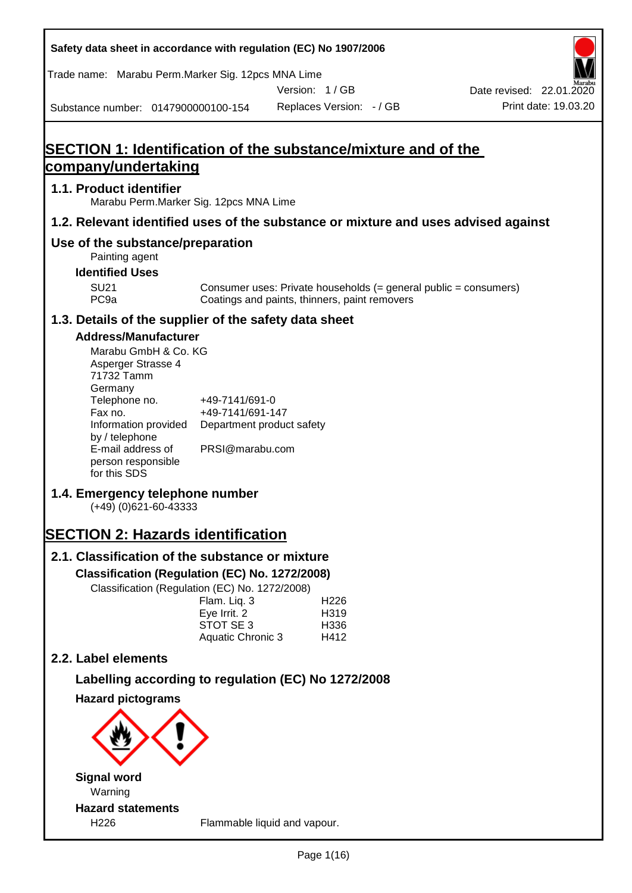**Safety data sheet in accordance with regulation (EC) No 1907/2006** Substance number: 0147900000100-154 Version: 1 / GB Replaces Version: - / GB Print date: 19.03.20 Date revised: 22.01.2020 Trade name: Marabu Perm.Marker Sig. 12pcs MNA Lime **SECTION 1: Identification of the substance/mixture and of the company/undertaking 1.1. Product identifier** Marabu Perm.Marker Sig. 12pcs MNA Lime **1.2. Relevant identified uses of the substance or mixture and uses advised against Use of the substance/preparation** Painting agent **Identified Uses** SU21 Consumer uses: Private households (= general public = consumers)<br>PC9a Coatings and paints, thinners, paint removers Coatings and paints, thinners, paint removers **1.3. Details of the supplier of the safety data sheet Address/Manufacturer** Marabu GmbH & Co. KG Asperger Strasse 4 71732 Tamm **Germany** Telephone no. +49-7141/691-0 Fax no.  $+49-7141/691-147$ Information provided Department product safety by / telephone E-mail address of person responsible for this SDS PRSI@marabu.com **1.4. Emergency telephone number** (+49) (0)621-60-43333 **SECTION 2: Hazards identification 2.1. Classification of the substance or mixture Classification (Regulation (EC) No. 1272/2008)** Classification (Regulation (EC) No. 1272/2008) Flam. Liq. 3 H226 Eve Irrit. 2 H319 STOT SE 3 H336 Aquatic Chronic 3 H412 **2.2. Label elements Labelling according to regulation (EC) No 1272/2008 Hazard pictograms Signal word** Warning **Hazard statements** H226 Flammable liquid and vapour.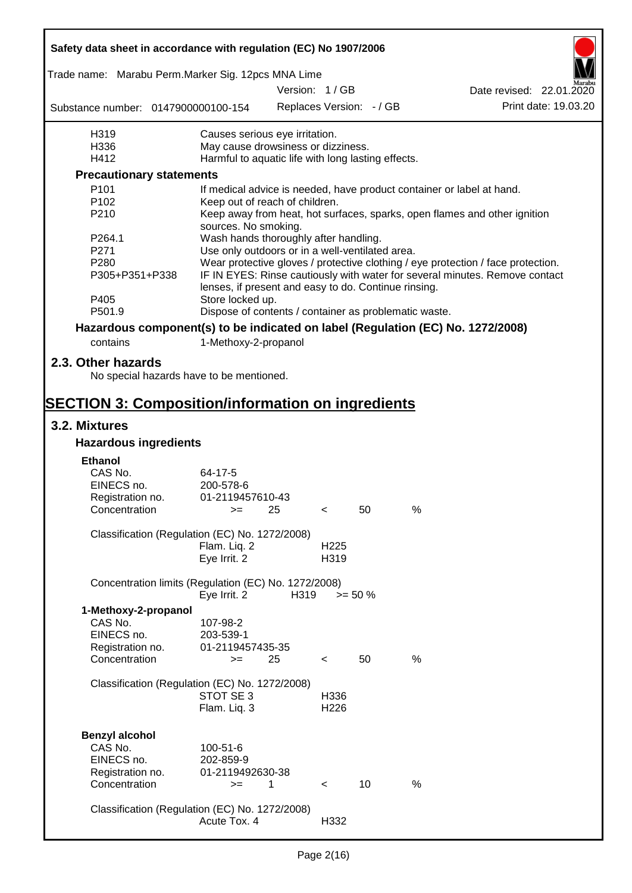| Safety data sheet in accordance with regulation (EC) No 1907/2006               |                                                                                          |               |                          |                          |   |                                                                                                                                                                 |
|---------------------------------------------------------------------------------|------------------------------------------------------------------------------------------|---------------|--------------------------|--------------------------|---|-----------------------------------------------------------------------------------------------------------------------------------------------------------------|
| Trade name: Marabu Perm.Marker Sig. 12pcs MNA Lime                              |                                                                                          | Version: 1/GB |                          |                          |   | Date revised: 22.01.2020                                                                                                                                        |
| Substance number: 0147900000100-154                                             |                                                                                          |               |                          | Replaces Version: - / GB |   | Print date: 19.03.20                                                                                                                                            |
|                                                                                 |                                                                                          |               |                          |                          |   |                                                                                                                                                                 |
| H319                                                                            | Causes serious eye irritation.                                                           |               |                          |                          |   |                                                                                                                                                                 |
| H336<br>H412                                                                    | May cause drowsiness or dizziness.<br>Harmful to aquatic life with long lasting effects. |               |                          |                          |   |                                                                                                                                                                 |
| <b>Precautionary statements</b>                                                 |                                                                                          |               |                          |                          |   |                                                                                                                                                                 |
| P <sub>101</sub>                                                                | If medical advice is needed, have product container or label at hand.                    |               |                          |                          |   |                                                                                                                                                                 |
| P <sub>102</sub>                                                                | Keep out of reach of children.                                                           |               |                          |                          |   |                                                                                                                                                                 |
| P210                                                                            | sources. No smoking.                                                                     |               |                          |                          |   | Keep away from heat, hot surfaces, sparks, open flames and other ignition                                                                                       |
| P264.1                                                                          | Wash hands thoroughly after handling.                                                    |               |                          |                          |   |                                                                                                                                                                 |
| P271                                                                            | Use only outdoors or in a well-ventilated area.                                          |               |                          |                          |   |                                                                                                                                                                 |
| P <sub>280</sub><br>P305+P351+P338                                              |                                                                                          |               |                          |                          |   | Wear protective gloves / protective clothing / eye protection / face protection.<br>IF IN EYES: Rinse cautiously with water for several minutes. Remove contact |
| P405                                                                            | lenses, if present and easy to do. Continue rinsing.<br>Store locked up.                 |               |                          |                          |   |                                                                                                                                                                 |
| P501.9                                                                          | Dispose of contents / container as problematic waste.                                    |               |                          |                          |   |                                                                                                                                                                 |
| Hazardous component(s) to be indicated on label (Regulation (EC) No. 1272/2008) |                                                                                          |               |                          |                          |   |                                                                                                                                                                 |
| contains                                                                        | 1-Methoxy-2-propanol                                                                     |               |                          |                          |   |                                                                                                                                                                 |
|                                                                                 |                                                                                          |               |                          |                          |   |                                                                                                                                                                 |
| 2.3. Other hazards<br>No special hazards have to be mentioned.                  |                                                                                          |               |                          |                          |   |                                                                                                                                                                 |
| <b>SECTION 3: Composition/information on ingredients</b>                        |                                                                                          |               |                          |                          |   |                                                                                                                                                                 |
| 3.2. Mixtures                                                                   |                                                                                          |               |                          |                          |   |                                                                                                                                                                 |
| <b>Hazardous ingredients</b>                                                    |                                                                                          |               |                          |                          |   |                                                                                                                                                                 |
|                                                                                 |                                                                                          |               |                          |                          |   |                                                                                                                                                                 |
| <b>Ethanol</b><br>CAS No.                                                       | 64-17-5                                                                                  |               |                          |                          |   |                                                                                                                                                                 |
| EINECS no.                                                                      | 200-578-6                                                                                |               |                          |                          |   |                                                                                                                                                                 |
| Registration no.                                                                | 01-2119457610-43                                                                         |               |                          |                          |   |                                                                                                                                                                 |
| Concentration                                                                   | $>=$                                                                                     | 25            |                          | 50                       | % |                                                                                                                                                                 |
| Classification (Regulation (EC) No. 1272/2008)                                  |                                                                                          |               |                          |                          |   |                                                                                                                                                                 |
|                                                                                 | Flam. Liq. 2                                                                             |               | H <sub>225</sub>         |                          |   |                                                                                                                                                                 |
|                                                                                 | Eye Irrit. 2                                                                             |               | H319                     |                          |   |                                                                                                                                                                 |
| Concentration limits (Regulation (EC) No. 1272/2008)                            |                                                                                          |               |                          |                          |   |                                                                                                                                                                 |
|                                                                                 | Eye Irrit. 2                                                                             | H319          |                          | $>= 50 \%$               |   |                                                                                                                                                                 |
| 1-Methoxy-2-propanol                                                            |                                                                                          |               |                          |                          |   |                                                                                                                                                                 |
| CAS No.                                                                         | 107-98-2                                                                                 |               |                          |                          |   |                                                                                                                                                                 |
| EINECS no.<br>Registration no.                                                  | 203-539-1<br>01-2119457435-35                                                            |               |                          |                          |   |                                                                                                                                                                 |
| Concentration                                                                   | $>=$                                                                                     | 25            | $\lt$                    | 50                       | % |                                                                                                                                                                 |
|                                                                                 |                                                                                          |               |                          |                          |   |                                                                                                                                                                 |
| Classification (Regulation (EC) No. 1272/2008)                                  |                                                                                          |               |                          |                          |   |                                                                                                                                                                 |
|                                                                                 | STOT SE 3                                                                                |               | H336                     |                          |   |                                                                                                                                                                 |
|                                                                                 | Flam. Liq. 3                                                                             |               | H <sub>226</sub>         |                          |   |                                                                                                                                                                 |
|                                                                                 |                                                                                          |               |                          |                          |   |                                                                                                                                                                 |
| <b>Benzyl alcohol</b><br>CAS No.                                                | 100-51-6                                                                                 |               |                          |                          |   |                                                                                                                                                                 |
| EINECS no.                                                                      | 202-859-9                                                                                |               |                          |                          |   |                                                                                                                                                                 |
| Registration no.                                                                | 01-2119492630-38                                                                         |               |                          |                          |   |                                                                                                                                                                 |
| Concentration                                                                   | $=$                                                                                      | 1             | $\overline{\phantom{a}}$ | 10                       | % |                                                                                                                                                                 |
|                                                                                 |                                                                                          |               |                          |                          |   |                                                                                                                                                                 |
| Classification (Regulation (EC) No. 1272/2008)                                  |                                                                                          |               |                          |                          |   |                                                                                                                                                                 |
|                                                                                 | Acute Tox. 4                                                                             |               | H332                     |                          |   |                                                                                                                                                                 |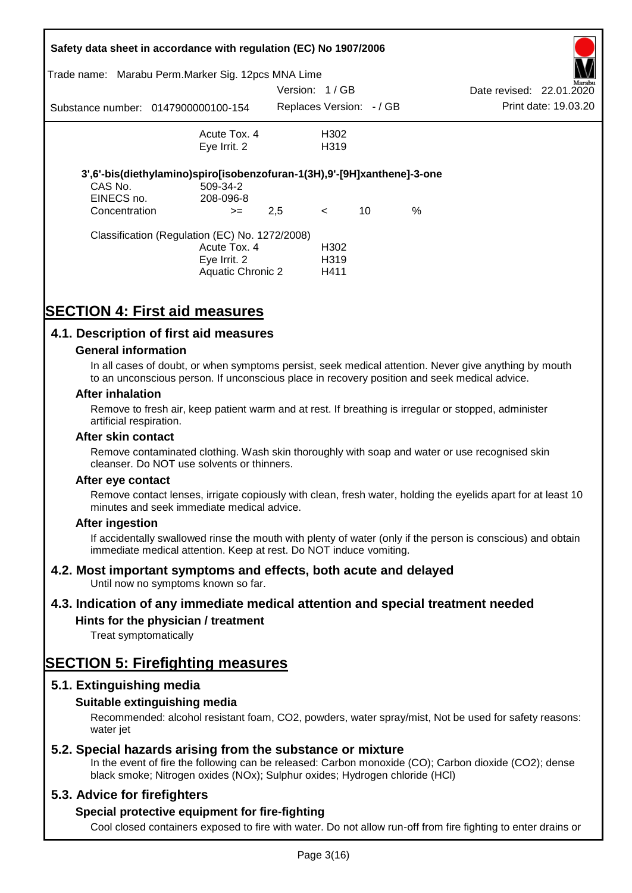|               | Safety data sheet in accordance with regulation (EC) No 1907/2006       |               |                         |    |   |                          |                      |
|---------------|-------------------------------------------------------------------------|---------------|-------------------------|----|---|--------------------------|----------------------|
|               | Trade name: Marabu Perm.Marker Sig. 12pcs MNA Lime                      |               |                         |    |   |                          | Marabu               |
|               |                                                                         | Version: 1/GB |                         |    |   | Date revised: 22.01.2020 |                      |
|               | Substance number: 0147900000100-154                                     |               | Replaces Version: -/ GB |    |   |                          | Print date: 19.03.20 |
|               | Acute Tox, 4                                                            |               | H302                    |    |   |                          |                      |
|               | Eye Irrit. 2                                                            |               | H319                    |    |   |                          |                      |
|               | 3',6'-bis(diethylamino)spiro[isobenzofuran-1(3H),9'-[9H]xanthene]-3-one |               |                         |    |   |                          |                      |
| CAS No.       | 509-34-2                                                                |               |                         |    |   |                          |                      |
| EINECS no.    | 208-096-8                                                               |               |                         |    |   |                          |                      |
| Concentration | $>=$                                                                    | 2,5           | $\lt$                   | 10 | % |                          |                      |
|               | Classification (Regulation (EC) No. 1272/2008)                          |               |                         |    |   |                          |                      |
|               | Acute Tox. 4                                                            |               | H302                    |    |   |                          |                      |
|               | Eye Irrit. 2                                                            |               | H <sub>3</sub> 19       |    |   |                          |                      |
|               | <b>Aquatic Chronic 2</b>                                                |               | H411                    |    |   |                          |                      |

## **SECTION 4: First aid measures**

### **4.1. Description of first aid measures**

### **General information**

In all cases of doubt, or when symptoms persist, seek medical attention. Never give anything by mouth to an unconscious person. If unconscious place in recovery position and seek medical advice.

#### **After inhalation**

Remove to fresh air, keep patient warm and at rest. If breathing is irregular or stopped, administer artificial respiration.

#### **After skin contact**

Remove contaminated clothing. Wash skin thoroughly with soap and water or use recognised skin cleanser. Do NOT use solvents or thinners.

#### **After eye contact**

Remove contact lenses, irrigate copiously with clean, fresh water, holding the eyelids apart for at least 10 minutes and seek immediate medical advice.

#### **After ingestion**

If accidentally swallowed rinse the mouth with plenty of water (only if the person is conscious) and obtain immediate medical attention. Keep at rest. Do NOT induce vomiting.

### **4.2. Most important symptoms and effects, both acute and delayed**

Until now no symptoms known so far.

### **4.3. Indication of any immediate medical attention and special treatment needed**

### **Hints for the physician / treatment**

Treat symptomatically

### **SECTION 5: Firefighting measures**

### **5.1. Extinguishing media**

### **Suitable extinguishing media**

Recommended: alcohol resistant foam, CO2, powders, water spray/mist, Not be used for safety reasons: water *iet* 

### **5.2. Special hazards arising from the substance or mixture**

In the event of fire the following can be released: Carbon monoxide (CO); Carbon dioxide (CO2); dense black smoke; Nitrogen oxides (NOx); Sulphur oxides; Hydrogen chloride (HCl)

### **5.3. Advice for firefighters**

### **Special protective equipment for fire-fighting**

Cool closed containers exposed to fire with water. Do not allow run-off from fire fighting to enter drains or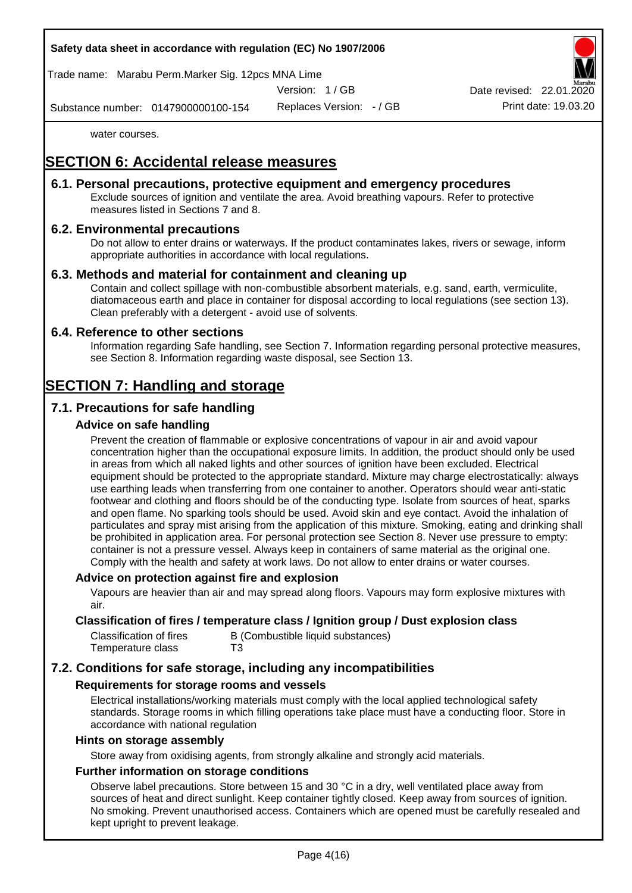### **Safety data sheet in accordance with regulation (EC) No 1907/2006**

Trade name: Marabu Perm.Marker Sig. 12pcs MNA Lime

Version: 1 / GB

Replaces Version: - / GB Print date: 19.03.20 Date revised: 22.01.

Substance number: 0147900000100-154

water courses.

## **SECTION 6: Accidental release measures**

### **6.1. Personal precautions, protective equipment and emergency procedures**

Exclude sources of ignition and ventilate the area. Avoid breathing vapours. Refer to protective measures listed in Sections 7 and 8.

### **6.2. Environmental precautions**

Do not allow to enter drains or waterways. If the product contaminates lakes, rivers or sewage, inform appropriate authorities in accordance with local regulations.

### **6.3. Methods and material for containment and cleaning up**

Contain and collect spillage with non-combustible absorbent materials, e.g. sand, earth, vermiculite, diatomaceous earth and place in container for disposal according to local regulations (see section 13). Clean preferably with a detergent - avoid use of solvents.

### **6.4. Reference to other sections**

Information regarding Safe handling, see Section 7. Information regarding personal protective measures, see Section 8. Information regarding waste disposal, see Section 13.

## **SECTION 7: Handling and storage**

### **7.1. Precautions for safe handling**

### **Advice on safe handling**

Prevent the creation of flammable or explosive concentrations of vapour in air and avoid vapour concentration higher than the occupational exposure limits. In addition, the product should only be used in areas from which all naked lights and other sources of ignition have been excluded. Electrical equipment should be protected to the appropriate standard. Mixture may charge electrostatically: always use earthing leads when transferring from one container to another. Operators should wear anti-static footwear and clothing and floors should be of the conducting type. Isolate from sources of heat, sparks and open flame. No sparking tools should be used. Avoid skin and eye contact. Avoid the inhalation of particulates and spray mist arising from the application of this mixture. Smoking, eating and drinking shall be prohibited in application area. For personal protection see Section 8. Never use pressure to empty: container is not a pressure vessel. Always keep in containers of same material as the original one. Comply with the health and safety at work laws. Do not allow to enter drains or water courses.

#### **Advice on protection against fire and explosion**

Vapours are heavier than air and may spread along floors. Vapours may form explosive mixtures with air.

### **Classification of fires / temperature class / Ignition group / Dust explosion class**

| Classification of fires | B (Combustible liquid substances) |
|-------------------------|-----------------------------------|
| Temperature class       | T3                                |

### **7.2. Conditions for safe storage, including any incompatibilities**

#### **Requirements for storage rooms and vessels**

Electrical installations/working materials must comply with the local applied technological safety standards. Storage rooms in which filling operations take place must have a conducting floor. Store in accordance with national regulation

#### **Hints on storage assembly**

Store away from oxidising agents, from strongly alkaline and strongly acid materials.

### **Further information on storage conditions**

Observe label precautions. Store between 15 and 30 °C in a dry, well ventilated place away from sources of heat and direct sunlight. Keep container tightly closed. Keep away from sources of ignition. No smoking. Prevent unauthorised access. Containers which are opened must be carefully resealed and kept upright to prevent leakage.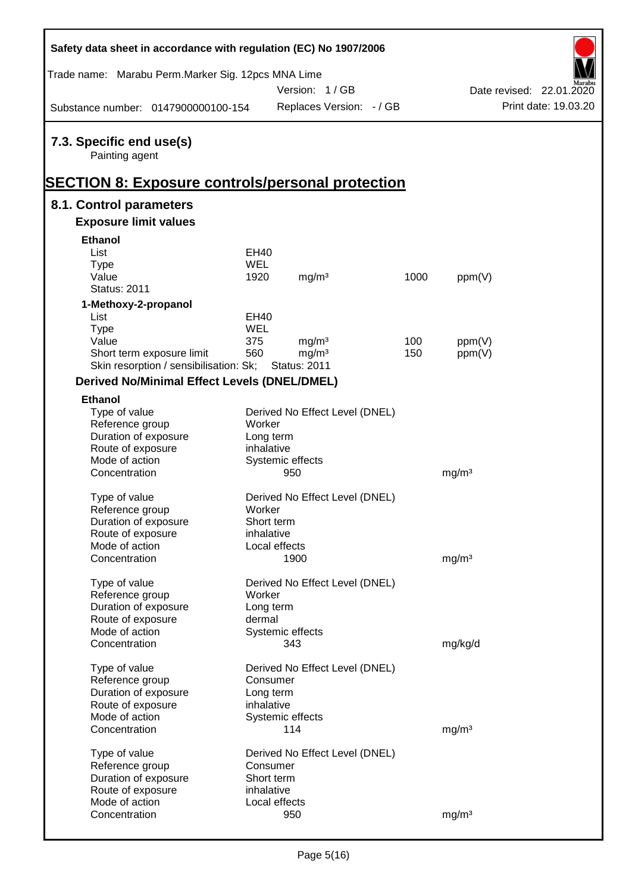| Trade name: Marabu Perm. Marker Sig. 12pcs MNA Lime<br>Version: 1/GB<br>Date revised: 22.01.2020<br>Print date: 19.03.20<br>Replaces Version: - / GB<br>Substance number: 0147900000100-154<br>7.3. Specific end use(s)<br>Painting agent<br><u> SECTION 8: Exposure controls/personal protection</u><br>8.1. Control parameters<br><b>Exposure limit values</b><br><b>Ethanol</b><br>List<br>EH40<br><b>WEL</b><br><b>Type</b><br>Value<br>1920<br>mg/m <sup>3</sup><br>1000<br>ppm(V)<br><b>Status: 2011</b><br>1-Methoxy-2-propanol<br>List<br>EH40<br><b>WEL</b><br><b>Type</b><br>mg/m <sup>3</sup><br>Value<br>375<br>100<br>ppm(V)<br>560<br>Short term exposure limit<br>mg/m <sup>3</sup><br>150<br>ppm(V)<br>Skin resorption / sensibilisation: Sk;<br><b>Status: 2011</b><br>Derived No/Minimal Effect Levels (DNEL/DMEL)<br><b>Ethanol</b><br>Type of value<br>Derived No Effect Level (DNEL)<br>Reference group<br>Worker<br>Duration of exposure<br>Long term<br>Route of exposure<br>inhalative<br>Mode of action<br>Systemic effects<br>Concentration<br>950<br>mg/m <sup>3</sup><br>Derived No Effect Level (DNEL)<br>Type of value<br>Worker<br>Reference group<br>Duration of exposure<br>Short term<br>Route of exposure<br>inhalative<br>Mode of action<br>Local effects<br>Concentration<br>1900<br>mg/m <sup>3</sup><br>Derived No Effect Level (DNEL)<br>Type of value<br>Reference group<br>Worker<br>Duration of exposure<br>Long term<br>Route of exposure<br>dermal<br>Mode of action<br>Systemic effects<br>Concentration<br>343<br>mg/kg/d<br>Type of value<br>Derived No Effect Level (DNEL)<br>Reference group<br>Consumer<br>Duration of exposure<br>Long term<br>Route of exposure<br>inhalative<br>Mode of action<br>Systemic effects<br>Concentration<br>114<br>mg/m <sup>3</sup><br>Type of value<br>Derived No Effect Level (DNEL)<br>Reference group<br>Consumer<br>Duration of exposure<br>Short term<br>Route of exposure<br>inhalative<br>Mode of action<br>Local effects | Safety data sheet in accordance with regulation (EC) No 1907/2006 |     |                   |  |
|---------------------------------------------------------------------------------------------------------------------------------------------------------------------------------------------------------------------------------------------------------------------------------------------------------------------------------------------------------------------------------------------------------------------------------------------------------------------------------------------------------------------------------------------------------------------------------------------------------------------------------------------------------------------------------------------------------------------------------------------------------------------------------------------------------------------------------------------------------------------------------------------------------------------------------------------------------------------------------------------------------------------------------------------------------------------------------------------------------------------------------------------------------------------------------------------------------------------------------------------------------------------------------------------------------------------------------------------------------------------------------------------------------------------------------------------------------------------------------------------------------------------------------------------------------------------------------------------------------------------------------------------------------------------------------------------------------------------------------------------------------------------------------------------------------------------------------------------------------------------------------------------------------------------------------------------------------------------------------------------------------------------|-------------------------------------------------------------------|-----|-------------------|--|
|                                                                                                                                                                                                                                                                                                                                                                                                                                                                                                                                                                                                                                                                                                                                                                                                                                                                                                                                                                                                                                                                                                                                                                                                                                                                                                                                                                                                                                                                                                                                                                                                                                                                                                                                                                                                                                                                                                                                                                                                                     |                                                                   |     |                   |  |
|                                                                                                                                                                                                                                                                                                                                                                                                                                                                                                                                                                                                                                                                                                                                                                                                                                                                                                                                                                                                                                                                                                                                                                                                                                                                                                                                                                                                                                                                                                                                                                                                                                                                                                                                                                                                                                                                                                                                                                                                                     |                                                                   |     |                   |  |
|                                                                                                                                                                                                                                                                                                                                                                                                                                                                                                                                                                                                                                                                                                                                                                                                                                                                                                                                                                                                                                                                                                                                                                                                                                                                                                                                                                                                                                                                                                                                                                                                                                                                                                                                                                                                                                                                                                                                                                                                                     |                                                                   |     |                   |  |
|                                                                                                                                                                                                                                                                                                                                                                                                                                                                                                                                                                                                                                                                                                                                                                                                                                                                                                                                                                                                                                                                                                                                                                                                                                                                                                                                                                                                                                                                                                                                                                                                                                                                                                                                                                                                                                                                                                                                                                                                                     |                                                                   |     |                   |  |
|                                                                                                                                                                                                                                                                                                                                                                                                                                                                                                                                                                                                                                                                                                                                                                                                                                                                                                                                                                                                                                                                                                                                                                                                                                                                                                                                                                                                                                                                                                                                                                                                                                                                                                                                                                                                                                                                                                                                                                                                                     |                                                                   |     |                   |  |
|                                                                                                                                                                                                                                                                                                                                                                                                                                                                                                                                                                                                                                                                                                                                                                                                                                                                                                                                                                                                                                                                                                                                                                                                                                                                                                                                                                                                                                                                                                                                                                                                                                                                                                                                                                                                                                                                                                                                                                                                                     |                                                                   |     |                   |  |
|                                                                                                                                                                                                                                                                                                                                                                                                                                                                                                                                                                                                                                                                                                                                                                                                                                                                                                                                                                                                                                                                                                                                                                                                                                                                                                                                                                                                                                                                                                                                                                                                                                                                                                                                                                                                                                                                                                                                                                                                                     |                                                                   |     |                   |  |
|                                                                                                                                                                                                                                                                                                                                                                                                                                                                                                                                                                                                                                                                                                                                                                                                                                                                                                                                                                                                                                                                                                                                                                                                                                                                                                                                                                                                                                                                                                                                                                                                                                                                                                                                                                                                                                                                                                                                                                                                                     |                                                                   |     |                   |  |
|                                                                                                                                                                                                                                                                                                                                                                                                                                                                                                                                                                                                                                                                                                                                                                                                                                                                                                                                                                                                                                                                                                                                                                                                                                                                                                                                                                                                                                                                                                                                                                                                                                                                                                                                                                                                                                                                                                                                                                                                                     |                                                                   |     |                   |  |
|                                                                                                                                                                                                                                                                                                                                                                                                                                                                                                                                                                                                                                                                                                                                                                                                                                                                                                                                                                                                                                                                                                                                                                                                                                                                                                                                                                                                                                                                                                                                                                                                                                                                                                                                                                                                                                                                                                                                                                                                                     |                                                                   |     |                   |  |
|                                                                                                                                                                                                                                                                                                                                                                                                                                                                                                                                                                                                                                                                                                                                                                                                                                                                                                                                                                                                                                                                                                                                                                                                                                                                                                                                                                                                                                                                                                                                                                                                                                                                                                                                                                                                                                                                                                                                                                                                                     |                                                                   |     |                   |  |
|                                                                                                                                                                                                                                                                                                                                                                                                                                                                                                                                                                                                                                                                                                                                                                                                                                                                                                                                                                                                                                                                                                                                                                                                                                                                                                                                                                                                                                                                                                                                                                                                                                                                                                                                                                                                                                                                                                                                                                                                                     |                                                                   |     |                   |  |
|                                                                                                                                                                                                                                                                                                                                                                                                                                                                                                                                                                                                                                                                                                                                                                                                                                                                                                                                                                                                                                                                                                                                                                                                                                                                                                                                                                                                                                                                                                                                                                                                                                                                                                                                                                                                                                                                                                                                                                                                                     |                                                                   |     |                   |  |
|                                                                                                                                                                                                                                                                                                                                                                                                                                                                                                                                                                                                                                                                                                                                                                                                                                                                                                                                                                                                                                                                                                                                                                                                                                                                                                                                                                                                                                                                                                                                                                                                                                                                                                                                                                                                                                                                                                                                                                                                                     |                                                                   |     |                   |  |
|                                                                                                                                                                                                                                                                                                                                                                                                                                                                                                                                                                                                                                                                                                                                                                                                                                                                                                                                                                                                                                                                                                                                                                                                                                                                                                                                                                                                                                                                                                                                                                                                                                                                                                                                                                                                                                                                                                                                                                                                                     |                                                                   |     |                   |  |
|                                                                                                                                                                                                                                                                                                                                                                                                                                                                                                                                                                                                                                                                                                                                                                                                                                                                                                                                                                                                                                                                                                                                                                                                                                                                                                                                                                                                                                                                                                                                                                                                                                                                                                                                                                                                                                                                                                                                                                                                                     |                                                                   |     |                   |  |
|                                                                                                                                                                                                                                                                                                                                                                                                                                                                                                                                                                                                                                                                                                                                                                                                                                                                                                                                                                                                                                                                                                                                                                                                                                                                                                                                                                                                                                                                                                                                                                                                                                                                                                                                                                                                                                                                                                                                                                                                                     |                                                                   |     |                   |  |
|                                                                                                                                                                                                                                                                                                                                                                                                                                                                                                                                                                                                                                                                                                                                                                                                                                                                                                                                                                                                                                                                                                                                                                                                                                                                                                                                                                                                                                                                                                                                                                                                                                                                                                                                                                                                                                                                                                                                                                                                                     |                                                                   |     |                   |  |
|                                                                                                                                                                                                                                                                                                                                                                                                                                                                                                                                                                                                                                                                                                                                                                                                                                                                                                                                                                                                                                                                                                                                                                                                                                                                                                                                                                                                                                                                                                                                                                                                                                                                                                                                                                                                                                                                                                                                                                                                                     |                                                                   |     |                   |  |
|                                                                                                                                                                                                                                                                                                                                                                                                                                                                                                                                                                                                                                                                                                                                                                                                                                                                                                                                                                                                                                                                                                                                                                                                                                                                                                                                                                                                                                                                                                                                                                                                                                                                                                                                                                                                                                                                                                                                                                                                                     |                                                                   |     |                   |  |
|                                                                                                                                                                                                                                                                                                                                                                                                                                                                                                                                                                                                                                                                                                                                                                                                                                                                                                                                                                                                                                                                                                                                                                                                                                                                                                                                                                                                                                                                                                                                                                                                                                                                                                                                                                                                                                                                                                                                                                                                                     |                                                                   |     |                   |  |
|                                                                                                                                                                                                                                                                                                                                                                                                                                                                                                                                                                                                                                                                                                                                                                                                                                                                                                                                                                                                                                                                                                                                                                                                                                                                                                                                                                                                                                                                                                                                                                                                                                                                                                                                                                                                                                                                                                                                                                                                                     |                                                                   |     |                   |  |
|                                                                                                                                                                                                                                                                                                                                                                                                                                                                                                                                                                                                                                                                                                                                                                                                                                                                                                                                                                                                                                                                                                                                                                                                                                                                                                                                                                                                                                                                                                                                                                                                                                                                                                                                                                                                                                                                                                                                                                                                                     |                                                                   |     |                   |  |
|                                                                                                                                                                                                                                                                                                                                                                                                                                                                                                                                                                                                                                                                                                                                                                                                                                                                                                                                                                                                                                                                                                                                                                                                                                                                                                                                                                                                                                                                                                                                                                                                                                                                                                                                                                                                                                                                                                                                                                                                                     |                                                                   |     |                   |  |
|                                                                                                                                                                                                                                                                                                                                                                                                                                                                                                                                                                                                                                                                                                                                                                                                                                                                                                                                                                                                                                                                                                                                                                                                                                                                                                                                                                                                                                                                                                                                                                                                                                                                                                                                                                                                                                                                                                                                                                                                                     |                                                                   |     |                   |  |
|                                                                                                                                                                                                                                                                                                                                                                                                                                                                                                                                                                                                                                                                                                                                                                                                                                                                                                                                                                                                                                                                                                                                                                                                                                                                                                                                                                                                                                                                                                                                                                                                                                                                                                                                                                                                                                                                                                                                                                                                                     |                                                                   |     |                   |  |
|                                                                                                                                                                                                                                                                                                                                                                                                                                                                                                                                                                                                                                                                                                                                                                                                                                                                                                                                                                                                                                                                                                                                                                                                                                                                                                                                                                                                                                                                                                                                                                                                                                                                                                                                                                                                                                                                                                                                                                                                                     |                                                                   |     |                   |  |
|                                                                                                                                                                                                                                                                                                                                                                                                                                                                                                                                                                                                                                                                                                                                                                                                                                                                                                                                                                                                                                                                                                                                                                                                                                                                                                                                                                                                                                                                                                                                                                                                                                                                                                                                                                                                                                                                                                                                                                                                                     |                                                                   |     |                   |  |
|                                                                                                                                                                                                                                                                                                                                                                                                                                                                                                                                                                                                                                                                                                                                                                                                                                                                                                                                                                                                                                                                                                                                                                                                                                                                                                                                                                                                                                                                                                                                                                                                                                                                                                                                                                                                                                                                                                                                                                                                                     |                                                                   |     |                   |  |
|                                                                                                                                                                                                                                                                                                                                                                                                                                                                                                                                                                                                                                                                                                                                                                                                                                                                                                                                                                                                                                                                                                                                                                                                                                                                                                                                                                                                                                                                                                                                                                                                                                                                                                                                                                                                                                                                                                                                                                                                                     |                                                                   |     |                   |  |
|                                                                                                                                                                                                                                                                                                                                                                                                                                                                                                                                                                                                                                                                                                                                                                                                                                                                                                                                                                                                                                                                                                                                                                                                                                                                                                                                                                                                                                                                                                                                                                                                                                                                                                                                                                                                                                                                                                                                                                                                                     |                                                                   |     |                   |  |
|                                                                                                                                                                                                                                                                                                                                                                                                                                                                                                                                                                                                                                                                                                                                                                                                                                                                                                                                                                                                                                                                                                                                                                                                                                                                                                                                                                                                                                                                                                                                                                                                                                                                                                                                                                                                                                                                                                                                                                                                                     |                                                                   |     |                   |  |
|                                                                                                                                                                                                                                                                                                                                                                                                                                                                                                                                                                                                                                                                                                                                                                                                                                                                                                                                                                                                                                                                                                                                                                                                                                                                                                                                                                                                                                                                                                                                                                                                                                                                                                                                                                                                                                                                                                                                                                                                                     |                                                                   |     |                   |  |
|                                                                                                                                                                                                                                                                                                                                                                                                                                                                                                                                                                                                                                                                                                                                                                                                                                                                                                                                                                                                                                                                                                                                                                                                                                                                                                                                                                                                                                                                                                                                                                                                                                                                                                                                                                                                                                                                                                                                                                                                                     |                                                                   |     |                   |  |
|                                                                                                                                                                                                                                                                                                                                                                                                                                                                                                                                                                                                                                                                                                                                                                                                                                                                                                                                                                                                                                                                                                                                                                                                                                                                                                                                                                                                                                                                                                                                                                                                                                                                                                                                                                                                                                                                                                                                                                                                                     |                                                                   |     |                   |  |
|                                                                                                                                                                                                                                                                                                                                                                                                                                                                                                                                                                                                                                                                                                                                                                                                                                                                                                                                                                                                                                                                                                                                                                                                                                                                                                                                                                                                                                                                                                                                                                                                                                                                                                                                                                                                                                                                                                                                                                                                                     |                                                                   |     |                   |  |
|                                                                                                                                                                                                                                                                                                                                                                                                                                                                                                                                                                                                                                                                                                                                                                                                                                                                                                                                                                                                                                                                                                                                                                                                                                                                                                                                                                                                                                                                                                                                                                                                                                                                                                                                                                                                                                                                                                                                                                                                                     |                                                                   |     |                   |  |
|                                                                                                                                                                                                                                                                                                                                                                                                                                                                                                                                                                                                                                                                                                                                                                                                                                                                                                                                                                                                                                                                                                                                                                                                                                                                                                                                                                                                                                                                                                                                                                                                                                                                                                                                                                                                                                                                                                                                                                                                                     |                                                                   |     |                   |  |
|                                                                                                                                                                                                                                                                                                                                                                                                                                                                                                                                                                                                                                                                                                                                                                                                                                                                                                                                                                                                                                                                                                                                                                                                                                                                                                                                                                                                                                                                                                                                                                                                                                                                                                                                                                                                                                                                                                                                                                                                                     |                                                                   |     |                   |  |
|                                                                                                                                                                                                                                                                                                                                                                                                                                                                                                                                                                                                                                                                                                                                                                                                                                                                                                                                                                                                                                                                                                                                                                                                                                                                                                                                                                                                                                                                                                                                                                                                                                                                                                                                                                                                                                                                                                                                                                                                                     |                                                                   |     |                   |  |
|                                                                                                                                                                                                                                                                                                                                                                                                                                                                                                                                                                                                                                                                                                                                                                                                                                                                                                                                                                                                                                                                                                                                                                                                                                                                                                                                                                                                                                                                                                                                                                                                                                                                                                                                                                                                                                                                                                                                                                                                                     |                                                                   |     |                   |  |
|                                                                                                                                                                                                                                                                                                                                                                                                                                                                                                                                                                                                                                                                                                                                                                                                                                                                                                                                                                                                                                                                                                                                                                                                                                                                                                                                                                                                                                                                                                                                                                                                                                                                                                                                                                                                                                                                                                                                                                                                                     |                                                                   |     |                   |  |
|                                                                                                                                                                                                                                                                                                                                                                                                                                                                                                                                                                                                                                                                                                                                                                                                                                                                                                                                                                                                                                                                                                                                                                                                                                                                                                                                                                                                                                                                                                                                                                                                                                                                                                                                                                                                                                                                                                                                                                                                                     |                                                                   |     |                   |  |
|                                                                                                                                                                                                                                                                                                                                                                                                                                                                                                                                                                                                                                                                                                                                                                                                                                                                                                                                                                                                                                                                                                                                                                                                                                                                                                                                                                                                                                                                                                                                                                                                                                                                                                                                                                                                                                                                                                                                                                                                                     |                                                                   |     |                   |  |
|                                                                                                                                                                                                                                                                                                                                                                                                                                                                                                                                                                                                                                                                                                                                                                                                                                                                                                                                                                                                                                                                                                                                                                                                                                                                                                                                                                                                                                                                                                                                                                                                                                                                                                                                                                                                                                                                                                                                                                                                                     |                                                                   |     |                   |  |
|                                                                                                                                                                                                                                                                                                                                                                                                                                                                                                                                                                                                                                                                                                                                                                                                                                                                                                                                                                                                                                                                                                                                                                                                                                                                                                                                                                                                                                                                                                                                                                                                                                                                                                                                                                                                                                                                                                                                                                                                                     |                                                                   |     |                   |  |
|                                                                                                                                                                                                                                                                                                                                                                                                                                                                                                                                                                                                                                                                                                                                                                                                                                                                                                                                                                                                                                                                                                                                                                                                                                                                                                                                                                                                                                                                                                                                                                                                                                                                                                                                                                                                                                                                                                                                                                                                                     | Concentration                                                     | 950 | mg/m <sup>3</sup> |  |

Ī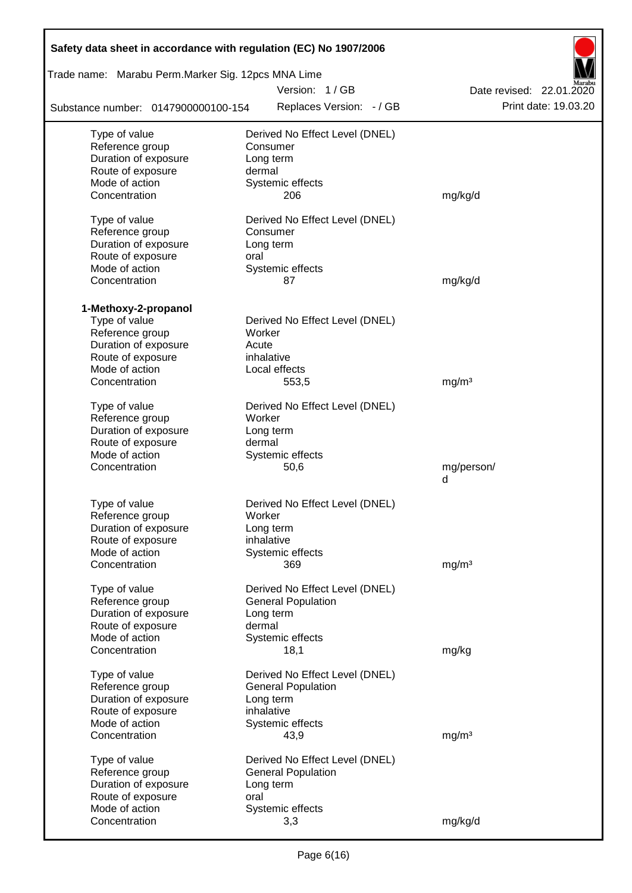| Safety data sheet in accordance with regulation (EC) No 1907/2006 |                                |                          |
|-------------------------------------------------------------------|--------------------------------|--------------------------|
| Trade name: Marabu Perm.Marker Sig. 12pcs MNA Lime                |                                |                          |
|                                                                   | Version: 1/GB                  | Date revised: 22.01.2020 |
| Substance number: 0147900000100-154                               | Replaces Version: - / GB       | Print date: 19.03.20     |
| Type of value                                                     | Derived No Effect Level (DNEL) |                          |
| Reference group                                                   | Consumer                       |                          |
| Duration of exposure                                              | Long term                      |                          |
| Route of exposure                                                 | dermal                         |                          |
| Mode of action                                                    | Systemic effects               |                          |
| Concentration                                                     | 206                            | mg/kg/d                  |
| Type of value                                                     | Derived No Effect Level (DNEL) |                          |
| Reference group                                                   | Consumer                       |                          |
| Duration of exposure                                              | Long term                      |                          |
| Route of exposure                                                 | oral                           |                          |
| Mode of action                                                    | Systemic effects               |                          |
| Concentration                                                     | 87                             | mg/kg/d                  |
|                                                                   |                                |                          |
| 1-Methoxy-2-propanol<br>Type of value                             | Derived No Effect Level (DNEL) |                          |
| Reference group                                                   | Worker                         |                          |
| Duration of exposure                                              | Acute                          |                          |
| Route of exposure                                                 | inhalative                     |                          |
| Mode of action                                                    | Local effects                  |                          |
| Concentration                                                     | 553,5                          | mg/m <sup>3</sup>        |
|                                                                   |                                |                          |
| Type of value                                                     | Derived No Effect Level (DNEL) |                          |
| Reference group<br>Duration of exposure                           | Worker<br>Long term            |                          |
| Route of exposure                                                 | dermal                         |                          |
| Mode of action                                                    | Systemic effects               |                          |
| Concentration                                                     | 50,6                           | mg/person/               |
|                                                                   |                                | d                        |
| Type of value                                                     | Derived No Effect Level (DNEL) |                          |
| Reference group                                                   | Worker                         |                          |
| Duration of exposure                                              | Long term                      |                          |
| Route of exposure                                                 | inhalative                     |                          |
| Mode of action                                                    | Systemic effects               |                          |
| Concentration                                                     | 369                            | mg/m <sup>3</sup>        |
|                                                                   |                                |                          |
| Type of value                                                     | Derived No Effect Level (DNEL) |                          |
| Reference group                                                   | <b>General Population</b>      |                          |
| Duration of exposure                                              | Long term                      |                          |
| Route of exposure                                                 | dermal                         |                          |
| Mode of action<br>Concentration                                   | Systemic effects<br>18,1       |                          |
|                                                                   |                                | mg/kg                    |
| Type of value                                                     | Derived No Effect Level (DNEL) |                          |
| Reference group                                                   | <b>General Population</b>      |                          |
| Duration of exposure                                              | Long term                      |                          |
| Route of exposure                                                 | inhalative                     |                          |
| Mode of action                                                    | Systemic effects               |                          |
| Concentration                                                     | 43,9                           | mg/m <sup>3</sup>        |
| Type of value                                                     | Derived No Effect Level (DNEL) |                          |
| Reference group                                                   | <b>General Population</b>      |                          |
| Duration of exposure                                              | Long term                      |                          |
| Route of exposure                                                 | oral                           |                          |
| Mode of action                                                    | Systemic effects               |                          |
| Concentration                                                     | 3,3                            | mg/kg/d                  |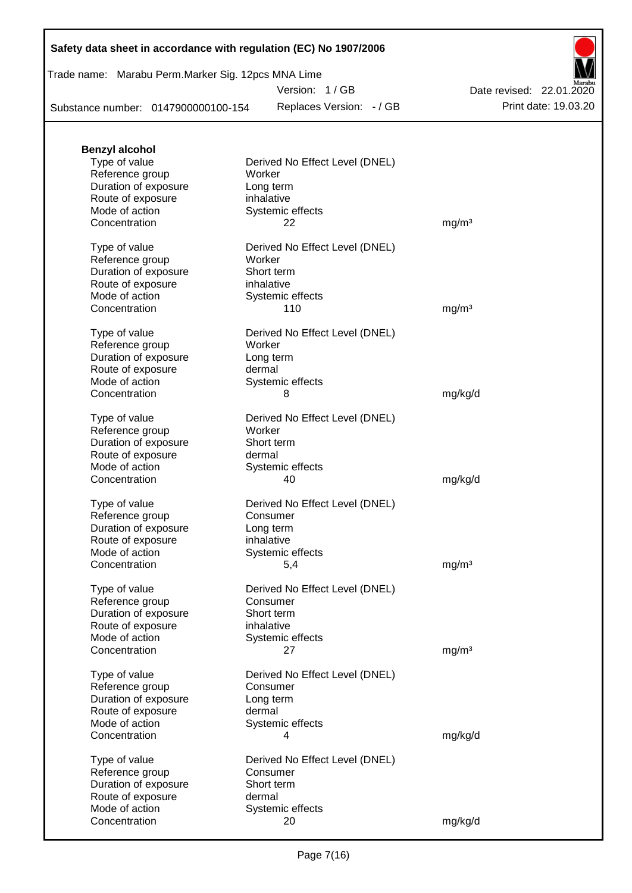|  | Safety data sheet in accordance with regulation (EC) No 1907/2006 |  |  |
|--|-------------------------------------------------------------------|--|--|
|--|-------------------------------------------------------------------|--|--|

| Trade name: Marabu Perm.Marker Sig. 12pcs MNA Lime |  |
|----------------------------------------------------|--|
|                                                    |  |

Version: 1 / GB

Replaces Version:  $-$  / GB Print date: 19.03.20 Date revised: 22.01.2020

Substance number: 0147900000100-154

| <b>Benzyl alcohol</b> |                                |                   |
|-----------------------|--------------------------------|-------------------|
| Type of value         | Derived No Effect Level (DNEL) |                   |
| Reference group       | Worker                         |                   |
| Duration of exposure  | Long term                      |                   |
| Route of exposure     | inhalative                     |                   |
| Mode of action        | Systemic effects               |                   |
| Concentration         | 22                             | mg/m <sup>3</sup> |
| Type of value         | Derived No Effect Level (DNEL) |                   |
| Reference group       | Worker                         |                   |
| Duration of exposure  | Short term                     |                   |
| Route of exposure     | inhalative                     |                   |
| Mode of action        | Systemic effects               |                   |
| Concentration         | 110                            | mg/m <sup>3</sup> |
| Type of value         | Derived No Effect Level (DNEL) |                   |
| Reference group       | Worker                         |                   |
| Duration of exposure  | Long term                      |                   |
| Route of exposure     | dermal                         |                   |
| Mode of action        | Systemic effects               |                   |
| Concentration         | 8                              | mg/kg/d           |
| Type of value         | Derived No Effect Level (DNEL) |                   |
| Reference group       | Worker                         |                   |
| Duration of exposure  | Short term                     |                   |
| Route of exposure     | dermal                         |                   |
| Mode of action        | Systemic effects               |                   |
| Concentration         | 40                             | mg/kg/d           |
| Type of value         | Derived No Effect Level (DNEL) |                   |
| Reference group       | Consumer                       |                   |
| Duration of exposure  | Long term                      |                   |
| Route of exposure     | inhalative                     |                   |
| Mode of action        | Systemic effects               |                   |
| Concentration         | 5,4                            | mg/m <sup>3</sup> |
| Type of value         | Derived No Effect Level (DNEL) |                   |
| Reference group       | Consumer                       |                   |
| Duration of exposure  | Short term                     |                   |
| Route of exposure     | inhalative                     |                   |
| Mode of action        | Systemic effects               |                   |
| Concentration         | 27                             | mg/m <sup>3</sup> |
| Type of value         | Derived No Effect Level (DNEL) |                   |
| Reference group       | Consumer                       |                   |
| Duration of exposure  | Long term                      |                   |
| Route of exposure     | dermal                         |                   |
| Mode of action        | Systemic effects               |                   |
| Concentration         | 4                              | mg/kg/d           |
| Type of value         | Derived No Effect Level (DNEL) |                   |
| Reference group       | Consumer                       |                   |
| Duration of exposure  | Short term                     |                   |
| Route of exposure     | dermal                         |                   |
| Mode of action        | Systemic effects               |                   |
| Concentration         | 20                             | mg/kg/d           |
|                       |                                |                   |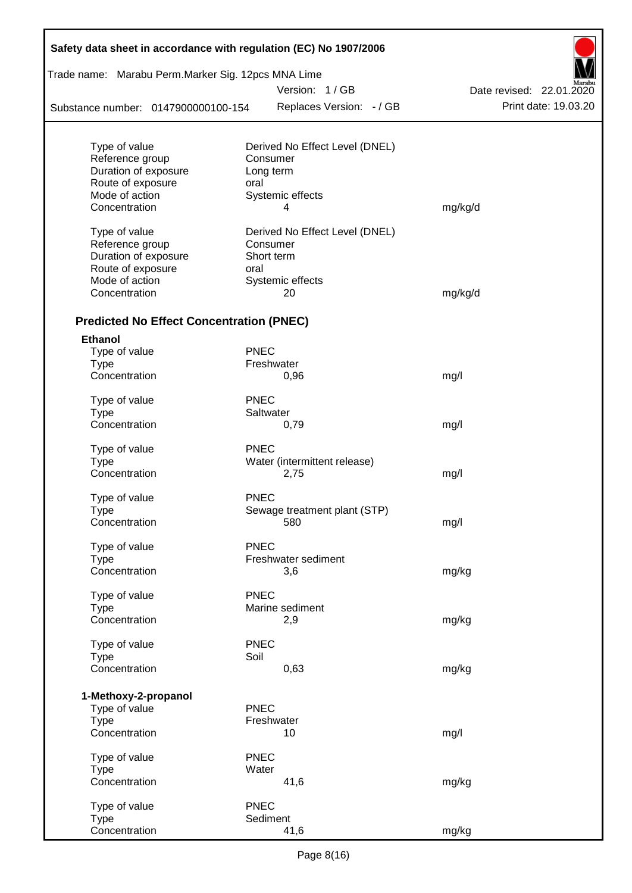| Safety data sheet in accordance with regulation (EC) No 1907/2006 |             |                                |                          |
|-------------------------------------------------------------------|-------------|--------------------------------|--------------------------|
| Trade name: Marabu Perm.Marker Sig. 12pcs MNA Lime                |             |                                |                          |
|                                                                   |             | Version: 1/GB                  | Date revised: 22.01.2020 |
| Substance number: 0147900000100-154                               |             | Replaces Version: - / GB       | Print date: 19.03.20     |
| Type of value                                                     |             | Derived No Effect Level (DNEL) |                          |
| Reference group                                                   |             | Consumer                       |                          |
| Duration of exposure                                              |             | Long term                      |                          |
| Route of exposure                                                 | oral        |                                |                          |
| Mode of action                                                    |             | Systemic effects               |                          |
| Concentration                                                     |             | 4                              | mg/kg/d                  |
| Type of value                                                     |             | Derived No Effect Level (DNEL) |                          |
| Reference group                                                   |             | Consumer                       |                          |
| Duration of exposure                                              |             | Short term                     |                          |
| Route of exposure                                                 | oral        |                                |                          |
| Mode of action                                                    |             | Systemic effects               |                          |
| Concentration                                                     |             | 20                             | mg/kg/d                  |
| <b>Predicted No Effect Concentration (PNEC)</b>                   |             |                                |                          |
|                                                                   |             |                                |                          |
| <b>Ethanol</b>                                                    |             |                                |                          |
| Type of value                                                     | <b>PNEC</b> |                                |                          |
| <b>Type</b><br>Concentration                                      |             | Freshwater<br>0,96             |                          |
|                                                                   |             |                                | mg/l                     |
| Type of value                                                     | <b>PNEC</b> |                                |                          |
| <b>Type</b>                                                       |             | Saltwater                      |                          |
| Concentration                                                     |             | 0,79                           | mg/l                     |
| Type of value                                                     | <b>PNEC</b> |                                |                          |
| <b>Type</b>                                                       |             | Water (intermittent release)   |                          |
| Concentration                                                     |             | 2,75                           | mg/l                     |
| Type of value                                                     | <b>PNEC</b> |                                |                          |
| Type                                                              |             | Sewage treatment plant (STP)   |                          |
| Concentration                                                     |             | 580                            | mg/l                     |
|                                                                   |             |                                |                          |
| Type of value                                                     | <b>PNEC</b> |                                |                          |
| <b>Type</b>                                                       |             | Freshwater sediment            |                          |
| Concentration                                                     |             | 3,6                            | mg/kg                    |
|                                                                   | <b>PNEC</b> |                                |                          |
| Type of value<br><b>Type</b>                                      |             | Marine sediment                |                          |
| Concentration                                                     |             | 2,9                            | mg/kg                    |
|                                                                   |             |                                |                          |
| Type of value                                                     | <b>PNEC</b> |                                |                          |
| <b>Type</b>                                                       | Soil        |                                |                          |
| Concentration                                                     |             | 0,63                           | mg/kg                    |
|                                                                   |             |                                |                          |
| 1-Methoxy-2-propanol                                              |             |                                |                          |
| Type of value                                                     | <b>PNEC</b> |                                |                          |
| <b>Type</b>                                                       |             | Freshwater                     |                          |
| Concentration                                                     |             | 10                             | mg/l                     |
| Type of value                                                     | <b>PNEC</b> |                                |                          |
| <b>Type</b>                                                       | Water       |                                |                          |
| Concentration                                                     |             | 41,6                           | mg/kg                    |
|                                                                   |             |                                |                          |
| Type of value                                                     | <b>PNEC</b> |                                |                          |
| <b>Type</b>                                                       |             | Sediment                       |                          |
| Concentration                                                     |             | 41,6                           | mg/kg                    |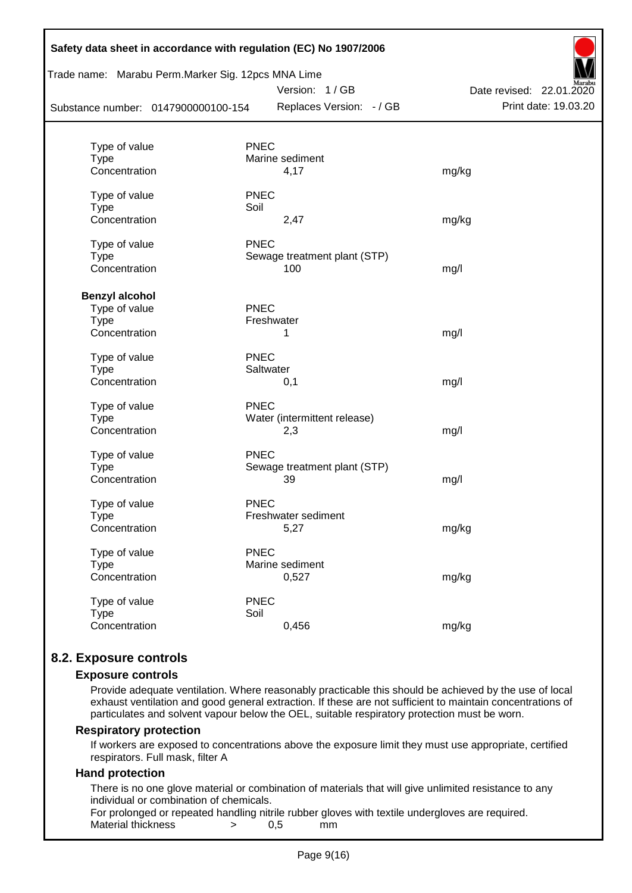| Safety data sheet in accordance with regulation (EC) No 1907/2006<br>Trade name: Marabu Perm.Marker Sig. 12pcs MNA Lime |                              |                          |                      |  |  |  |  |  |
|-------------------------------------------------------------------------------------------------------------------------|------------------------------|--------------------------|----------------------|--|--|--|--|--|
|                                                                                                                         | Version: 1/GB                | Date revised: 22.01.2020 |                      |  |  |  |  |  |
| Substance number: 0147900000100-154                                                                                     |                              | Replaces Version: - / GB | Print date: 19.03.20 |  |  |  |  |  |
| Type of value                                                                                                           | <b>PNEC</b>                  |                          |                      |  |  |  |  |  |
| <b>Type</b>                                                                                                             | Marine sediment              |                          |                      |  |  |  |  |  |
| Concentration                                                                                                           | 4,17                         | mg/kg                    |                      |  |  |  |  |  |
| Type of value                                                                                                           | <b>PNEC</b>                  |                          |                      |  |  |  |  |  |
| <b>Type</b>                                                                                                             | Soil                         |                          |                      |  |  |  |  |  |
| Concentration                                                                                                           | 2,47                         | mg/kg                    |                      |  |  |  |  |  |
| Type of value                                                                                                           | <b>PNEC</b>                  |                          |                      |  |  |  |  |  |
| <b>Type</b>                                                                                                             | Sewage treatment plant (STP) |                          |                      |  |  |  |  |  |
| Concentration                                                                                                           | 100                          | mg/l                     |                      |  |  |  |  |  |
| <b>Benzyl alcohol</b>                                                                                                   |                              |                          |                      |  |  |  |  |  |
| Type of value                                                                                                           | <b>PNEC</b>                  |                          |                      |  |  |  |  |  |
| <b>Type</b>                                                                                                             | Freshwater                   |                          |                      |  |  |  |  |  |
| Concentration                                                                                                           | 1                            | mg/l                     |                      |  |  |  |  |  |
| Type of value                                                                                                           | <b>PNEC</b>                  |                          |                      |  |  |  |  |  |
| <b>Type</b>                                                                                                             | Saltwater                    |                          |                      |  |  |  |  |  |
| Concentration                                                                                                           | 0,1                          | mg/l                     |                      |  |  |  |  |  |
| Type of value                                                                                                           | <b>PNEC</b>                  |                          |                      |  |  |  |  |  |
| <b>Type</b>                                                                                                             | Water (intermittent release) |                          |                      |  |  |  |  |  |
| Concentration                                                                                                           | 2,3                          | mg/l                     |                      |  |  |  |  |  |
| Type of value                                                                                                           | <b>PNEC</b>                  |                          |                      |  |  |  |  |  |
| <b>Type</b>                                                                                                             | Sewage treatment plant (STP) |                          |                      |  |  |  |  |  |
| Concentration                                                                                                           | 39                           | mg/l                     |                      |  |  |  |  |  |
| Type of value                                                                                                           | <b>PNEC</b>                  |                          |                      |  |  |  |  |  |
| <b>Type</b>                                                                                                             | Freshwater sediment          |                          |                      |  |  |  |  |  |
| Concentration                                                                                                           | 5,27                         | mg/kg                    |                      |  |  |  |  |  |
| Type of value                                                                                                           | <b>PNEC</b>                  |                          |                      |  |  |  |  |  |
| <b>Type</b>                                                                                                             | Marine sediment              |                          |                      |  |  |  |  |  |
| Concentration                                                                                                           | 0,527                        | mg/kg                    |                      |  |  |  |  |  |
| Type of value                                                                                                           | <b>PNEC</b>                  |                          |                      |  |  |  |  |  |
| <b>Type</b>                                                                                                             | Soil                         |                          |                      |  |  |  |  |  |
| Concentration                                                                                                           | 0,456                        | mg/kg                    |                      |  |  |  |  |  |
|                                                                                                                         |                              |                          |                      |  |  |  |  |  |

### **8.2. Exposure controls**

#### **Exposure controls**

Provide adequate ventilation. Where reasonably practicable this should be achieved by the use of local exhaust ventilation and good general extraction. If these are not sufficient to maintain concentrations of particulates and solvent vapour below the OEL, suitable respiratory protection must be worn.

#### **Respiratory protection**

If workers are exposed to concentrations above the exposure limit they must use appropriate, certified respirators. Full mask, filter A

#### **Hand protection**

There is no one glove material or combination of materials that will give unlimited resistance to any individual or combination of chemicals.

For prolonged or repeated handling nitrile rubber gloves with textile undergloves are required. Material thickness  $\rightarrow$  0,5 mm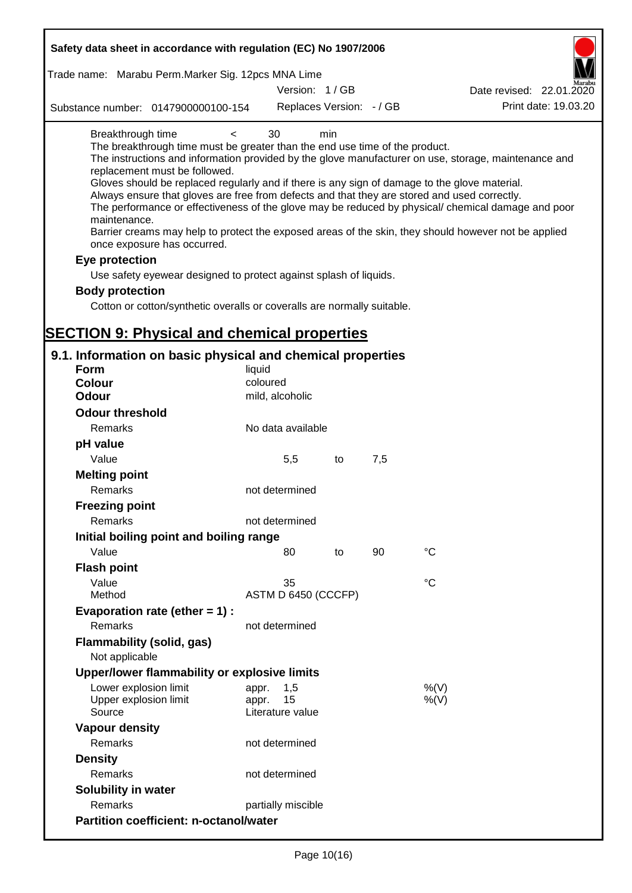| Safety data sheet in accordance with regulation (EC) No 1907/2006                                                                                                                                                                                                                                                                                                                            |                                                 |     |     |                                                                                                                                                                                                                                                                                                                    |
|----------------------------------------------------------------------------------------------------------------------------------------------------------------------------------------------------------------------------------------------------------------------------------------------------------------------------------------------------------------------------------------------|-------------------------------------------------|-----|-----|--------------------------------------------------------------------------------------------------------------------------------------------------------------------------------------------------------------------------------------------------------------------------------------------------------------------|
| Trade name: Marabu Perm.Marker Sig. 12pcs MNA Lime                                                                                                                                                                                                                                                                                                                                           |                                                 |     |     |                                                                                                                                                                                                                                                                                                                    |
|                                                                                                                                                                                                                                                                                                                                                                                              | Version: 1/GB                                   |     |     | Date revised: 22.01.2020                                                                                                                                                                                                                                                                                           |
| Substance number: 0147900000100-154                                                                                                                                                                                                                                                                                                                                                          | Replaces Version: - / GB                        |     |     | Print date: 19.03.20                                                                                                                                                                                                                                                                                               |
| Breakthrough time<br>$\prec$<br>The breakthrough time must be greater than the end use time of the product.<br>replacement must be followed.<br>Gloves should be replaced regularly and if there is any sign of damage to the glove material.<br>Always ensure that gloves are free from defects and that they are stored and used correctly.<br>maintenance.<br>once exposure has occurred. | 30                                              | min |     | The instructions and information provided by the glove manufacturer on use, storage, maintenance and<br>The performance or effectiveness of the glove may be reduced by physical/ chemical damage and poor<br>Barrier creams may help to protect the exposed areas of the skin, they should however not be applied |
| Eye protection                                                                                                                                                                                                                                                                                                                                                                               |                                                 |     |     |                                                                                                                                                                                                                                                                                                                    |
| Use safety eyewear designed to protect against splash of liquids.                                                                                                                                                                                                                                                                                                                            |                                                 |     |     |                                                                                                                                                                                                                                                                                                                    |
| <b>Body protection</b>                                                                                                                                                                                                                                                                                                                                                                       |                                                 |     |     |                                                                                                                                                                                                                                                                                                                    |
| Cotton or cotton/synthetic overalls or coveralls are normally suitable.                                                                                                                                                                                                                                                                                                                      |                                                 |     |     |                                                                                                                                                                                                                                                                                                                    |
| <b>SECTION 9: Physical and chemical properties</b>                                                                                                                                                                                                                                                                                                                                           |                                                 |     |     |                                                                                                                                                                                                                                                                                                                    |
| 9.1. Information on basic physical and chemical properties                                                                                                                                                                                                                                                                                                                                   |                                                 |     |     |                                                                                                                                                                                                                                                                                                                    |
| <b>Form</b>                                                                                                                                                                                                                                                                                                                                                                                  | liquid                                          |     |     |                                                                                                                                                                                                                                                                                                                    |
| <b>Colour</b>                                                                                                                                                                                                                                                                                                                                                                                | coloured                                        |     |     |                                                                                                                                                                                                                                                                                                                    |
| <b>Odour</b>                                                                                                                                                                                                                                                                                                                                                                                 | mild, alcoholic                                 |     |     |                                                                                                                                                                                                                                                                                                                    |
| <b>Odour threshold</b>                                                                                                                                                                                                                                                                                                                                                                       |                                                 |     |     |                                                                                                                                                                                                                                                                                                                    |
| Remarks                                                                                                                                                                                                                                                                                                                                                                                      | No data available                               |     |     |                                                                                                                                                                                                                                                                                                                    |
| pH value                                                                                                                                                                                                                                                                                                                                                                                     |                                                 |     |     |                                                                                                                                                                                                                                                                                                                    |
| Value                                                                                                                                                                                                                                                                                                                                                                                        | 5,5                                             | to  | 7,5 |                                                                                                                                                                                                                                                                                                                    |
| <b>Melting point</b><br>Remarks                                                                                                                                                                                                                                                                                                                                                              | not determined                                  |     |     |                                                                                                                                                                                                                                                                                                                    |
| <b>Freezing point</b>                                                                                                                                                                                                                                                                                                                                                                        |                                                 |     |     |                                                                                                                                                                                                                                                                                                                    |
| <b>Remarks</b>                                                                                                                                                                                                                                                                                                                                                                               | not determined                                  |     |     |                                                                                                                                                                                                                                                                                                                    |
| Initial boiling point and boiling range                                                                                                                                                                                                                                                                                                                                                      |                                                 |     |     |                                                                                                                                                                                                                                                                                                                    |
| Value                                                                                                                                                                                                                                                                                                                                                                                        | 80                                              | to  | 90  | $\rm ^{\circ}C$                                                                                                                                                                                                                                                                                                    |
| <b>Flash point</b>                                                                                                                                                                                                                                                                                                                                                                           |                                                 |     |     |                                                                                                                                                                                                                                                                                                                    |
| Value                                                                                                                                                                                                                                                                                                                                                                                        | 35                                              |     |     | $^{\circ}C$                                                                                                                                                                                                                                                                                                        |
| Method                                                                                                                                                                                                                                                                                                                                                                                       | ASTM D 6450 (CCCFP)                             |     |     |                                                                                                                                                                                                                                                                                                                    |
| Evaporation rate (ether $= 1$ ) :                                                                                                                                                                                                                                                                                                                                                            |                                                 |     |     |                                                                                                                                                                                                                                                                                                                    |
| Remarks                                                                                                                                                                                                                                                                                                                                                                                      | not determined                                  |     |     |                                                                                                                                                                                                                                                                                                                    |
| Flammability (solid, gas)<br>Not applicable                                                                                                                                                                                                                                                                                                                                                  |                                                 |     |     |                                                                                                                                                                                                                                                                                                                    |
| Upper/lower flammability or explosive limits                                                                                                                                                                                                                                                                                                                                                 |                                                 |     |     |                                                                                                                                                                                                                                                                                                                    |
| Lower explosion limit<br>Upper explosion limit<br>Source                                                                                                                                                                                                                                                                                                                                     | 1,5<br>appr.<br>15<br>appr.<br>Literature value |     |     | %(V)<br>%(V)                                                                                                                                                                                                                                                                                                       |
| <b>Vapour density</b>                                                                                                                                                                                                                                                                                                                                                                        |                                                 |     |     |                                                                                                                                                                                                                                                                                                                    |
| Remarks                                                                                                                                                                                                                                                                                                                                                                                      | not determined                                  |     |     |                                                                                                                                                                                                                                                                                                                    |
| <b>Density</b>                                                                                                                                                                                                                                                                                                                                                                               |                                                 |     |     |                                                                                                                                                                                                                                                                                                                    |
| Remarks                                                                                                                                                                                                                                                                                                                                                                                      | not determined                                  |     |     |                                                                                                                                                                                                                                                                                                                    |
| Solubility in water                                                                                                                                                                                                                                                                                                                                                                          |                                                 |     |     |                                                                                                                                                                                                                                                                                                                    |
| Remarks                                                                                                                                                                                                                                                                                                                                                                                      | partially miscible                              |     |     |                                                                                                                                                                                                                                                                                                                    |
| <b>Partition coefficient: n-octanol/water</b>                                                                                                                                                                                                                                                                                                                                                |                                                 |     |     |                                                                                                                                                                                                                                                                                                                    |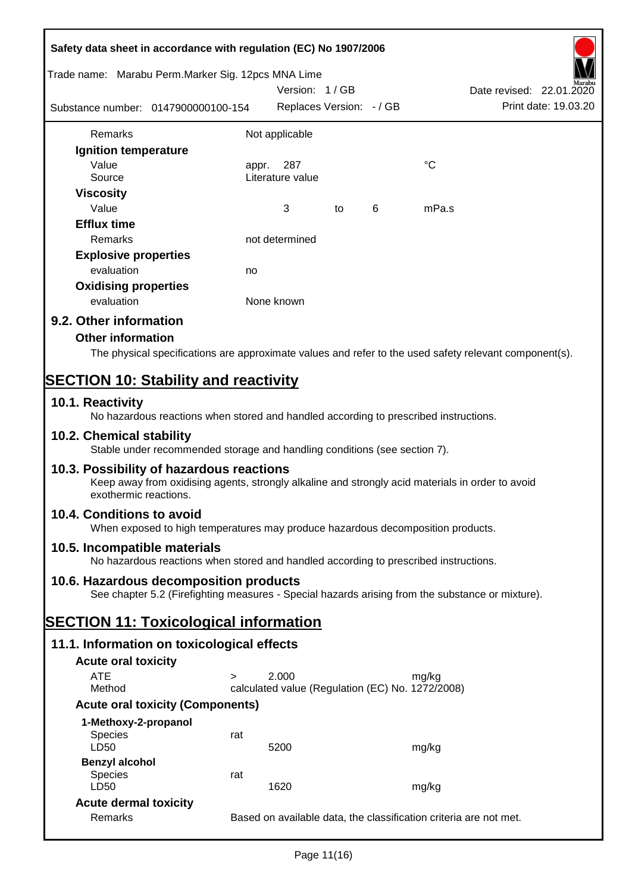| Safety data sheet in accordance with regulation (EC) No 1907/2006 |                                                                                                                                              |            |                                                  |    |   |                 |                                                                                                        |
|-------------------------------------------------------------------|----------------------------------------------------------------------------------------------------------------------------------------------|------------|--------------------------------------------------|----|---|-----------------|--------------------------------------------------------------------------------------------------------|
| Trade name: Marabu Perm.Marker Sig. 12pcs MNA Lime                |                                                                                                                                              |            | Version: 1/GB                                    |    |   |                 | Date revised: 22.01.2020                                                                               |
| Substance number: 0147900000100-154                               |                                                                                                                                              |            | Replaces Version: - / GB                         |    |   |                 | Print date: 19.03.20                                                                                   |
| Remarks                                                           |                                                                                                                                              |            | Not applicable                                   |    |   |                 |                                                                                                        |
| Ignition temperature                                              |                                                                                                                                              |            |                                                  |    |   |                 |                                                                                                        |
| Value                                                             |                                                                                                                                              | appr.      | 287                                              |    |   | $\rm ^{\circ}C$ |                                                                                                        |
| Source                                                            |                                                                                                                                              |            | Literature value                                 |    |   |                 |                                                                                                        |
| <b>Viscosity</b>                                                  |                                                                                                                                              |            |                                                  |    |   |                 |                                                                                                        |
| Value                                                             |                                                                                                                                              |            | 3                                                | to | 6 | mPa.s           |                                                                                                        |
| <b>Efflux time</b>                                                |                                                                                                                                              |            |                                                  |    |   |                 |                                                                                                        |
| Remarks                                                           |                                                                                                                                              |            | not determined                                   |    |   |                 |                                                                                                        |
| <b>Explosive properties</b>                                       |                                                                                                                                              |            |                                                  |    |   |                 |                                                                                                        |
| evaluation                                                        |                                                                                                                                              | no         |                                                  |    |   |                 |                                                                                                        |
| <b>Oxidising properties</b>                                       |                                                                                                                                              |            |                                                  |    |   |                 |                                                                                                        |
| evaluation                                                        |                                                                                                                                              | None known |                                                  |    |   |                 |                                                                                                        |
| 9.2. Other information                                            |                                                                                                                                              |            |                                                  |    |   |                 |                                                                                                        |
| <b>Other information</b>                                          |                                                                                                                                              |            |                                                  |    |   |                 |                                                                                                        |
|                                                                   |                                                                                                                                              |            |                                                  |    |   |                 | The physical specifications are approximate values and refer to the used safety relevant component(s). |
|                                                                   |                                                                                                                                              |            |                                                  |    |   |                 |                                                                                                        |
| <b>SECTION 10: Stability and reactivity</b>                       |                                                                                                                                              |            |                                                  |    |   |                 |                                                                                                        |
| 10.1. Reactivity                                                  | No hazardous reactions when stored and handled according to prescribed instructions.                                                         |            |                                                  |    |   |                 |                                                                                                        |
| 10.2. Chemical stability                                          | Stable under recommended storage and handling conditions (see section 7).                                                                    |            |                                                  |    |   |                 |                                                                                                        |
| exothermic reactions.                                             | 10.3. Possibility of hazardous reactions<br>Keep away from oxidising agents, strongly alkaline and strongly acid materials in order to avoid |            |                                                  |    |   |                 |                                                                                                        |
| 10.4. Conditions to avoid                                         | When exposed to high temperatures may produce hazardous decomposition products.                                                              |            |                                                  |    |   |                 |                                                                                                        |
| 10.5. Incompatible materials                                      | No hazardous reactions when stored and handled according to prescribed instructions.                                                         |            |                                                  |    |   |                 |                                                                                                        |
|                                                                   | 10.6. Hazardous decomposition products                                                                                                       |            |                                                  |    |   |                 |                                                                                                        |
|                                                                   | See chapter 5.2 (Firefighting measures - Special hazards arising from the substance or mixture).                                             |            |                                                  |    |   |                 |                                                                                                        |
| <b>SECTION 11: Toxicological information</b>                      |                                                                                                                                              |            |                                                  |    |   |                 |                                                                                                        |
|                                                                   | 11.1. Information on toxicological effects                                                                                                   |            |                                                  |    |   |                 |                                                                                                        |
| <b>Acute oral toxicity</b>                                        |                                                                                                                                              |            |                                                  |    |   |                 |                                                                                                        |
| <b>ATE</b>                                                        | $\geq$                                                                                                                                       |            | 2.000                                            |    |   | mg/kg           |                                                                                                        |
| Method                                                            |                                                                                                                                              |            | calculated value (Regulation (EC) No. 1272/2008) |    |   |                 |                                                                                                        |
|                                                                   | <b>Acute oral toxicity (Components)</b>                                                                                                      |            |                                                  |    |   |                 |                                                                                                        |
| 1-Methoxy-2-propanol                                              |                                                                                                                                              |            |                                                  |    |   |                 |                                                                                                        |
| <b>Species</b><br>LD50                                            | rat                                                                                                                                          |            | 5200                                             |    |   | mg/kg           |                                                                                                        |
| <b>Benzyl alcohol</b>                                             |                                                                                                                                              |            |                                                  |    |   |                 |                                                                                                        |
| <b>Species</b>                                                    | rat                                                                                                                                          |            |                                                  |    |   |                 |                                                                                                        |
| LD50                                                              |                                                                                                                                              |            | 1620                                             |    |   | mg/kg           |                                                                                                        |
| <b>Acute dermal toxicity</b>                                      |                                                                                                                                              |            |                                                  |    |   |                 |                                                                                                        |
| Remarks                                                           |                                                                                                                                              |            |                                                  |    |   |                 | Based on available data, the classification criteria are not met.                                      |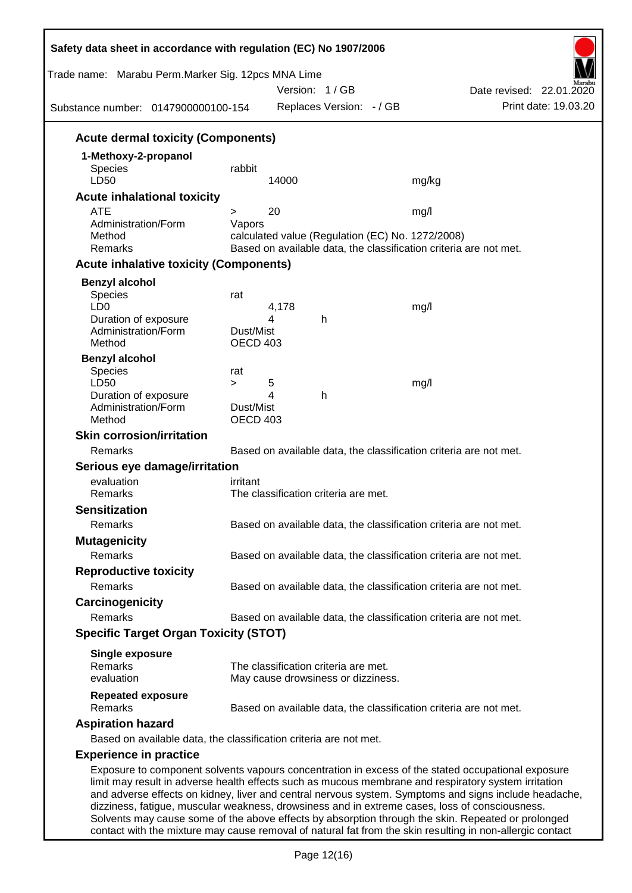| Trade name: Marabu Perm.Marker Sig. 12pcs MNA Lime<br>Substance number: 0147900000100-154 |                 |       | Version: 1/GB<br>Replaces Version: - / GB        | Date revised: 22.01.2020<br>Print date: 19.03.20                                                                                                                                                                                                                                                                                                                                                                      |
|-------------------------------------------------------------------------------------------|-----------------|-------|--------------------------------------------------|-----------------------------------------------------------------------------------------------------------------------------------------------------------------------------------------------------------------------------------------------------------------------------------------------------------------------------------------------------------------------------------------------------------------------|
|                                                                                           |                 |       |                                                  |                                                                                                                                                                                                                                                                                                                                                                                                                       |
| <b>Acute dermal toxicity (Components)</b>                                                 |                 |       |                                                  |                                                                                                                                                                                                                                                                                                                                                                                                                       |
| 1-Methoxy-2-propanol                                                                      |                 |       |                                                  |                                                                                                                                                                                                                                                                                                                                                                                                                       |
| <b>Species</b><br>LD50                                                                    | rabbit          | 14000 |                                                  | mg/kg                                                                                                                                                                                                                                                                                                                                                                                                                 |
| <b>Acute inhalational toxicity</b>                                                        |                 |       |                                                  |                                                                                                                                                                                                                                                                                                                                                                                                                       |
| <b>ATE</b>                                                                                | $\geq$          | 20    |                                                  | mg/l                                                                                                                                                                                                                                                                                                                                                                                                                  |
| Administration/Form                                                                       | Vapors          |       |                                                  |                                                                                                                                                                                                                                                                                                                                                                                                                       |
| Method                                                                                    |                 |       | calculated value (Regulation (EC) No. 1272/2008) |                                                                                                                                                                                                                                                                                                                                                                                                                       |
| Remarks                                                                                   |                 |       |                                                  | Based on available data, the classification criteria are not met.                                                                                                                                                                                                                                                                                                                                                     |
| <b>Acute inhalative toxicity (Components)</b>                                             |                 |       |                                                  |                                                                                                                                                                                                                                                                                                                                                                                                                       |
| <b>Benzyl alcohol</b>                                                                     |                 |       |                                                  |                                                                                                                                                                                                                                                                                                                                                                                                                       |
| Species<br>LD <sub>0</sub>                                                                | rat             | 4,178 |                                                  | mg/l                                                                                                                                                                                                                                                                                                                                                                                                                  |
| Duration of exposure                                                                      |                 | 4     | h                                                |                                                                                                                                                                                                                                                                                                                                                                                                                       |
| Administration/Form                                                                       | Dust/Mist       |       |                                                  |                                                                                                                                                                                                                                                                                                                                                                                                                       |
| Method                                                                                    | <b>OECD 403</b> |       |                                                  |                                                                                                                                                                                                                                                                                                                                                                                                                       |
| <b>Benzyl alcohol</b><br>Species                                                          |                 |       |                                                  |                                                                                                                                                                                                                                                                                                                                                                                                                       |
| LD50                                                                                      | rat<br>$\geq$   | 5     |                                                  | mg/l                                                                                                                                                                                                                                                                                                                                                                                                                  |
| Duration of exposure                                                                      |                 | 4     | h                                                |                                                                                                                                                                                                                                                                                                                                                                                                                       |
| Administration/Form                                                                       | Dust/Mist       |       |                                                  |                                                                                                                                                                                                                                                                                                                                                                                                                       |
| Method                                                                                    | <b>OECD 403</b> |       |                                                  |                                                                                                                                                                                                                                                                                                                                                                                                                       |
| <b>Skin corrosion/irritation</b>                                                          |                 |       |                                                  |                                                                                                                                                                                                                                                                                                                                                                                                                       |
| Remarks                                                                                   |                 |       |                                                  | Based on available data, the classification criteria are not met.                                                                                                                                                                                                                                                                                                                                                     |
| Serious eye damage/irritation                                                             |                 |       |                                                  |                                                                                                                                                                                                                                                                                                                                                                                                                       |
| evaluation<br>Remarks                                                                     | irritant        |       | The classification criteria are met.             |                                                                                                                                                                                                                                                                                                                                                                                                                       |
| <b>Sensitization</b>                                                                      |                 |       |                                                  |                                                                                                                                                                                                                                                                                                                                                                                                                       |
| Remarks                                                                                   |                 |       |                                                  | Based on available data, the classification criteria are not met.                                                                                                                                                                                                                                                                                                                                                     |
|                                                                                           |                 |       |                                                  |                                                                                                                                                                                                                                                                                                                                                                                                                       |
| <b>Mutagenicity</b><br>Remarks                                                            |                 |       |                                                  | Based on available data, the classification criteria are not met.                                                                                                                                                                                                                                                                                                                                                     |
| <b>Reproductive toxicity</b>                                                              |                 |       |                                                  |                                                                                                                                                                                                                                                                                                                                                                                                                       |
| Remarks                                                                                   |                 |       |                                                  | Based on available data, the classification criteria are not met.                                                                                                                                                                                                                                                                                                                                                     |
|                                                                                           |                 |       |                                                  |                                                                                                                                                                                                                                                                                                                                                                                                                       |
| Carcinogenicity<br>Remarks                                                                |                 |       |                                                  |                                                                                                                                                                                                                                                                                                                                                                                                                       |
|                                                                                           |                 |       |                                                  | Based on available data, the classification criteria are not met.                                                                                                                                                                                                                                                                                                                                                     |
| <b>Specific Target Organ Toxicity (STOT)</b>                                              |                 |       |                                                  |                                                                                                                                                                                                                                                                                                                                                                                                                       |
| <b>Single exposure</b>                                                                    |                 |       |                                                  |                                                                                                                                                                                                                                                                                                                                                                                                                       |
| Remarks                                                                                   |                 |       | The classification criteria are met.             |                                                                                                                                                                                                                                                                                                                                                                                                                       |
| evaluation                                                                                |                 |       | May cause drowsiness or dizziness.               |                                                                                                                                                                                                                                                                                                                                                                                                                       |
| <b>Repeated exposure</b><br>Remarks                                                       |                 |       |                                                  | Based on available data, the classification criteria are not met.                                                                                                                                                                                                                                                                                                                                                     |
| <b>Aspiration hazard</b>                                                                  |                 |       |                                                  |                                                                                                                                                                                                                                                                                                                                                                                                                       |
| Based on available data, the classification criteria are not met.                         |                 |       |                                                  |                                                                                                                                                                                                                                                                                                                                                                                                                       |
|                                                                                           |                 |       |                                                  |                                                                                                                                                                                                                                                                                                                                                                                                                       |
| <b>Experience in practice</b>                                                             |                 |       |                                                  |                                                                                                                                                                                                                                                                                                                                                                                                                       |
|                                                                                           |                 |       |                                                  | Exposure to component solvents vapours concentration in excess of the stated occupational exposure<br>limit may result in adverse health effects such as mucous membrane and respiratory system irritation<br>and adverse effects on kidney, liver and central nervous system. Symptoms and signs include headache,<br>dizziness, fatigue, muscular weakness, drowsiness and in extreme cases, loss of consciousness. |

contact with the mixture may cause removal of natural fat from the skin resulting in non-allergic contact

Solvents may cause some of the above effects by absorption through the skin. Repeated or prolonged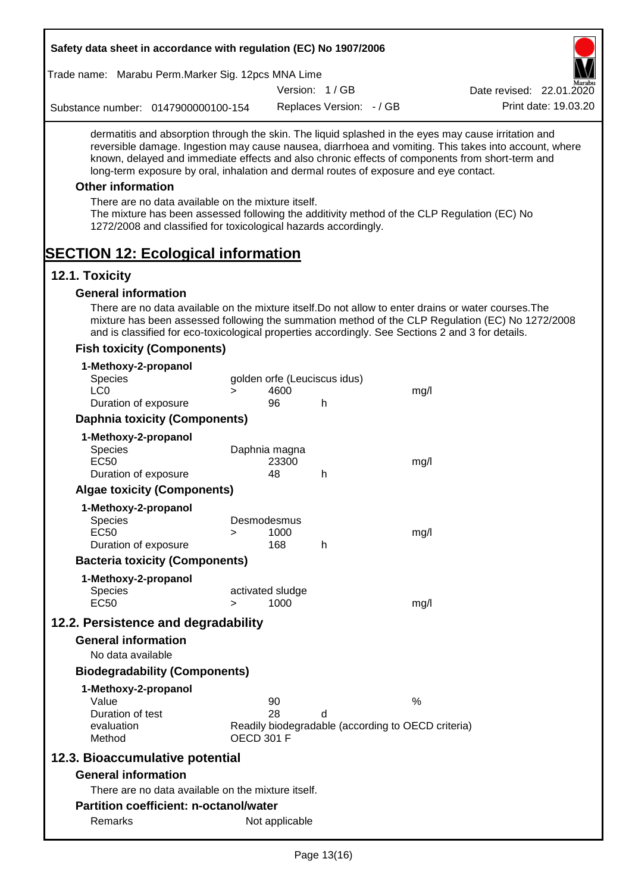| Safety data sheet in accordance with regulation (EC) No 1907/2006                                                                                                                                                                                                                                                                                                                                                                                                                                                                                    |        |                              |                          |                                                    |                                                                                                       |
|------------------------------------------------------------------------------------------------------------------------------------------------------------------------------------------------------------------------------------------------------------------------------------------------------------------------------------------------------------------------------------------------------------------------------------------------------------------------------------------------------------------------------------------------------|--------|------------------------------|--------------------------|----------------------------------------------------|-------------------------------------------------------------------------------------------------------|
| Trade name: Marabu Perm.Marker Sig. 12pcs MNA Lime                                                                                                                                                                                                                                                                                                                                                                                                                                                                                                   |        |                              |                          |                                                    |                                                                                                       |
|                                                                                                                                                                                                                                                                                                                                                                                                                                                                                                                                                      |        |                              | Version: 1/GB            |                                                    | Date revised: 22.01.2020                                                                              |
| Substance number: 0147900000100-154                                                                                                                                                                                                                                                                                                                                                                                                                                                                                                                  |        |                              | Replaces Version: - / GB |                                                    | Print date: 19.03.20                                                                                  |
| dermatitis and absorption through the skin. The liquid splashed in the eyes may cause irritation and<br>known, delayed and immediate effects and also chronic effects of components from short-term and<br>long-term exposure by oral, inhalation and dermal routes of exposure and eye contact.<br><b>Other information</b><br>There are no data available on the mixture itself.<br>The mixture has been assessed following the additivity method of the CLP Regulation (EC) No<br>1272/2008 and classified for toxicological hazards accordingly. |        |                              |                          |                                                    | reversible damage. Ingestion may cause nausea, diarrhoea and vomiting. This takes into account, where |
| <b>SECTION 12: Ecological information</b>                                                                                                                                                                                                                                                                                                                                                                                                                                                                                                            |        |                              |                          |                                                    |                                                                                                       |
| 12.1. Toxicity<br><b>General information</b>                                                                                                                                                                                                                                                                                                                                                                                                                                                                                                         |        |                              |                          |                                                    |                                                                                                       |
| There are no data available on the mixture itself. Do not allow to enter drains or water courses. The<br>and is classified for eco-toxicological properties accordingly. See Sections 2 and 3 for details.                                                                                                                                                                                                                                                                                                                                           |        |                              |                          |                                                    | mixture has been assessed following the summation method of the CLP Regulation (EC) No 1272/2008      |
| <b>Fish toxicity (Components)</b>                                                                                                                                                                                                                                                                                                                                                                                                                                                                                                                    |        |                              |                          |                                                    |                                                                                                       |
| 1-Methoxy-2-propanol<br><b>Species</b>                                                                                                                                                                                                                                                                                                                                                                                                                                                                                                               |        | golden orfe (Leuciscus idus) |                          |                                                    |                                                                                                       |
| LC <sub>0</sub>                                                                                                                                                                                                                                                                                                                                                                                                                                                                                                                                      | $\geq$ | 4600                         |                          | mg/l                                               |                                                                                                       |
| Duration of exposure                                                                                                                                                                                                                                                                                                                                                                                                                                                                                                                                 |        | 96                           | h                        |                                                    |                                                                                                       |
| <b>Daphnia toxicity (Components)</b>                                                                                                                                                                                                                                                                                                                                                                                                                                                                                                                 |        |                              |                          |                                                    |                                                                                                       |
| 1-Methoxy-2-propanol                                                                                                                                                                                                                                                                                                                                                                                                                                                                                                                                 |        |                              |                          |                                                    |                                                                                                       |
| <b>Species</b><br><b>EC50</b>                                                                                                                                                                                                                                                                                                                                                                                                                                                                                                                        |        | Daphnia magna<br>23300       |                          | mg/l                                               |                                                                                                       |
| Duration of exposure                                                                                                                                                                                                                                                                                                                                                                                                                                                                                                                                 |        | 48                           | h                        |                                                    |                                                                                                       |
| <b>Algae toxicity (Components)</b>                                                                                                                                                                                                                                                                                                                                                                                                                                                                                                                   |        |                              |                          |                                                    |                                                                                                       |
| 1-Methoxy-2-propanol                                                                                                                                                                                                                                                                                                                                                                                                                                                                                                                                 |        |                              |                          |                                                    |                                                                                                       |
| <b>Species</b>                                                                                                                                                                                                                                                                                                                                                                                                                                                                                                                                       |        | Desmodesmus                  |                          |                                                    |                                                                                                       |
| EC <sub>50</sub>                                                                                                                                                                                                                                                                                                                                                                                                                                                                                                                                     | >      | 1000                         |                          | mg/l                                               |                                                                                                       |
| Duration of exposure                                                                                                                                                                                                                                                                                                                                                                                                                                                                                                                                 |        | 168                          | h                        |                                                    |                                                                                                       |
| <b>Bacteria toxicity (Components)</b>                                                                                                                                                                                                                                                                                                                                                                                                                                                                                                                |        |                              |                          |                                                    |                                                                                                       |
| 1-Methoxy-2-propanol<br><b>Species</b>                                                                                                                                                                                                                                                                                                                                                                                                                                                                                                               |        | activated sludge             |                          |                                                    |                                                                                                       |
| <b>EC50</b>                                                                                                                                                                                                                                                                                                                                                                                                                                                                                                                                          | $\geq$ | 1000                         |                          | mg/l                                               |                                                                                                       |
| 12.2. Persistence and degradability                                                                                                                                                                                                                                                                                                                                                                                                                                                                                                                  |        |                              |                          |                                                    |                                                                                                       |
| <b>General information</b>                                                                                                                                                                                                                                                                                                                                                                                                                                                                                                                           |        |                              |                          |                                                    |                                                                                                       |
| No data available                                                                                                                                                                                                                                                                                                                                                                                                                                                                                                                                    |        |                              |                          |                                                    |                                                                                                       |
| <b>Biodegradability (Components)</b>                                                                                                                                                                                                                                                                                                                                                                                                                                                                                                                 |        |                              |                          |                                                    |                                                                                                       |
| 1-Methoxy-2-propanol                                                                                                                                                                                                                                                                                                                                                                                                                                                                                                                                 |        |                              |                          |                                                    |                                                                                                       |
| Value                                                                                                                                                                                                                                                                                                                                                                                                                                                                                                                                                |        | 90                           |                          | $\%$                                               |                                                                                                       |
| Duration of test                                                                                                                                                                                                                                                                                                                                                                                                                                                                                                                                     |        | 28                           | d                        |                                                    |                                                                                                       |
| evaluation<br>Method                                                                                                                                                                                                                                                                                                                                                                                                                                                                                                                                 |        | <b>OECD 301 F</b>            |                          | Readily biodegradable (according to OECD criteria) |                                                                                                       |
| 12.3. Bioaccumulative potential                                                                                                                                                                                                                                                                                                                                                                                                                                                                                                                      |        |                              |                          |                                                    |                                                                                                       |
| <b>General information</b>                                                                                                                                                                                                                                                                                                                                                                                                                                                                                                                           |        |                              |                          |                                                    |                                                                                                       |
| There are no data available on the mixture itself.                                                                                                                                                                                                                                                                                                                                                                                                                                                                                                   |        |                              |                          |                                                    |                                                                                                       |
| <b>Partition coefficient: n-octanol/water</b>                                                                                                                                                                                                                                                                                                                                                                                                                                                                                                        |        |                              |                          |                                                    |                                                                                                       |
| Remarks                                                                                                                                                                                                                                                                                                                                                                                                                                                                                                                                              |        | Not applicable               |                          |                                                    |                                                                                                       |
|                                                                                                                                                                                                                                                                                                                                                                                                                                                                                                                                                      |        |                              |                          |                                                    |                                                                                                       |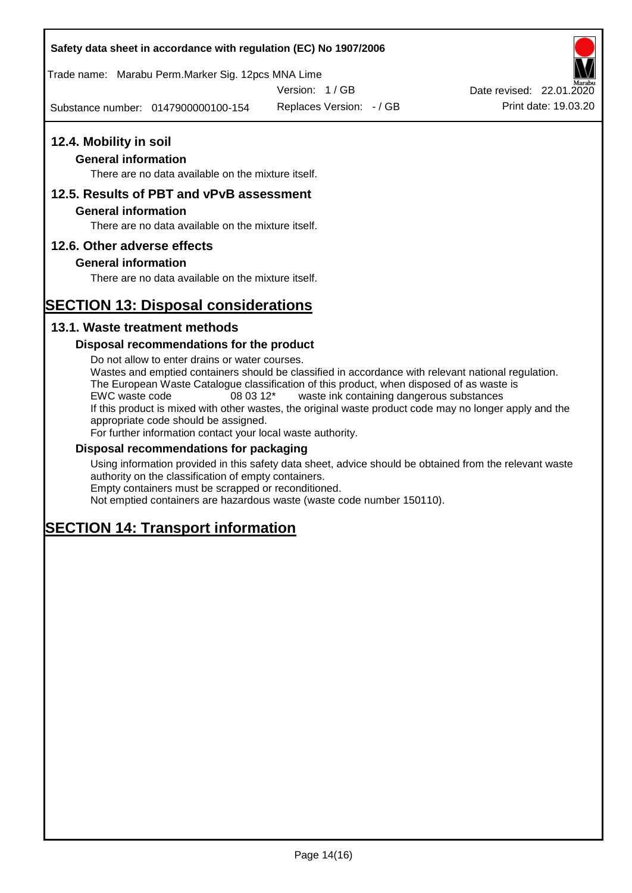### **Safety data sheet in accordance with regulation (EC) No 1907/2006**

Trade name: Marabu Perm.Marker Sig. 12pcs MNA Lime

Version: 1 / GB

Substance number: 0147900000100-154

Replaces Version: - / GB Print date: 19.03.20 Date revised: 22.01.2020

# **12.4. Mobility in soil**

### **General information**

There are no data available on the mixture itself.

### **12.5. Results of PBT and vPvB assessment**

### **General information**

There are no data available on the mixture itself.

### **12.6. Other adverse effects**

### **General information**

There are no data available on the mixture itself.

## **SECTION 13: Disposal considerations**

### **13.1. Waste treatment methods**

### **Disposal recommendations for the product**

Do not allow to enter drains or water courses. Wastes and emptied containers should be classified in accordance with relevant national regulation. The European Waste Catalogue classification of this product, when disposed of as waste is EWC waste code 08 03 12\* waste ink containing dangerous substances If this product is mixed with other wastes, the original waste product code may no longer apply and the appropriate code should be assigned. For further information contact your local waste authority.

### **Disposal recommendations for packaging**

Using information provided in this safety data sheet, advice should be obtained from the relevant waste authority on the classification of empty containers. Empty containers must be scrapped or reconditioned.

Not emptied containers are hazardous waste (waste code number 150110).

## **SECTION 14: Transport information**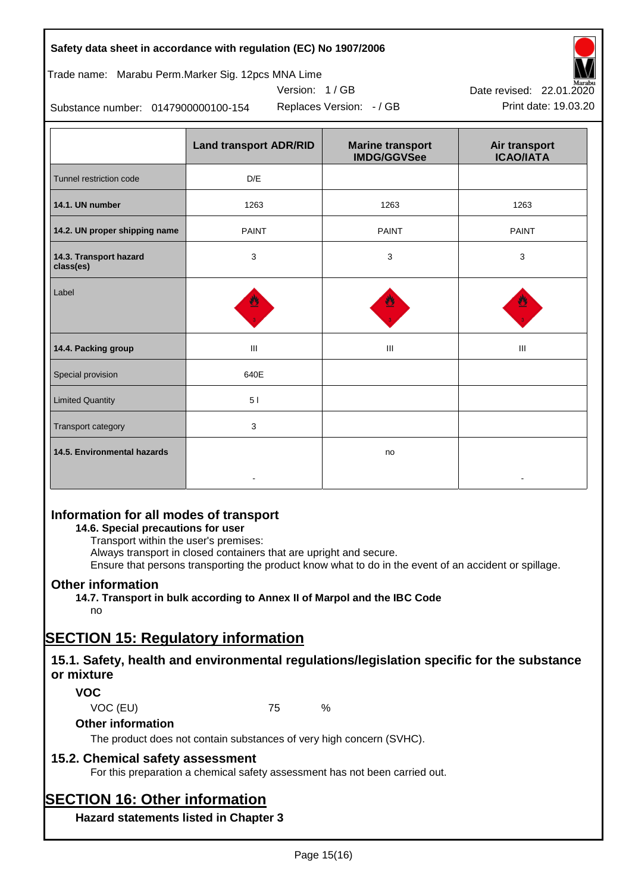| Safety data sheet in accordance with regulation (EC) No 1907/2006 |  |
|-------------------------------------------------------------------|--|
|-------------------------------------------------------------------|--|

Trade name: Marabu Perm.Marker Sig. 12pcs MNA Lime

Version: 1 / GB

Replaces Version: - / GB Print date: 19.03.20



Substance number: 0147900000100-154

|                                     | <b>Land transport ADR/RID</b> | <b>Marine transport</b><br><b>IMDG/GGVSee</b> | Air transport<br><b>ICAO/IATA</b> |  |
|-------------------------------------|-------------------------------|-----------------------------------------------|-----------------------------------|--|
| Tunnel restriction code             | D/E                           |                                               |                                   |  |
| 14.1. UN number                     | 1263                          | 1263                                          | 1263                              |  |
| 14.2. UN proper shipping name       | <b>PAINT</b>                  | <b>PAINT</b>                                  | <b>PAINT</b>                      |  |
| 14.3. Transport hazard<br>class(es) | 3                             | 3                                             | 3                                 |  |
| Label                               |                               |                                               |                                   |  |
| 14.4. Packing group                 | Ш                             | Ш                                             | Ш                                 |  |
| Special provision                   | 640E                          |                                               |                                   |  |
| <b>Limited Quantity</b>             | 5 <sub>1</sub>                |                                               |                                   |  |
| Transport category                  | 3                             |                                               |                                   |  |
| 14.5. Environmental hazards         |                               | no                                            |                                   |  |

### **Information for all modes of transport**

### **14.6. Special precautions for user**

Transport within the user's premises:

Always transport in closed containers that are upright and secure.

Ensure that persons transporting the product know what to do in the event of an accident or spillage.

### **Other information**

**14.7. Transport in bulk according to Annex II of Marpol and the IBC Code**

## no

## **SECTION 15: Regulatory information**

### **15.1. Safety, health and environmental regulations/legislation specific for the substance or mixture**

### **VOC**

VOC (EU) 75 %

### **Other information**

The product does not contain substances of very high concern (SVHC).

### **15.2. Chemical safety assessment**

For this preparation a chemical safety assessment has not been carried out.

## **SECTION 16: Other information**

**Hazard statements listed in Chapter 3**